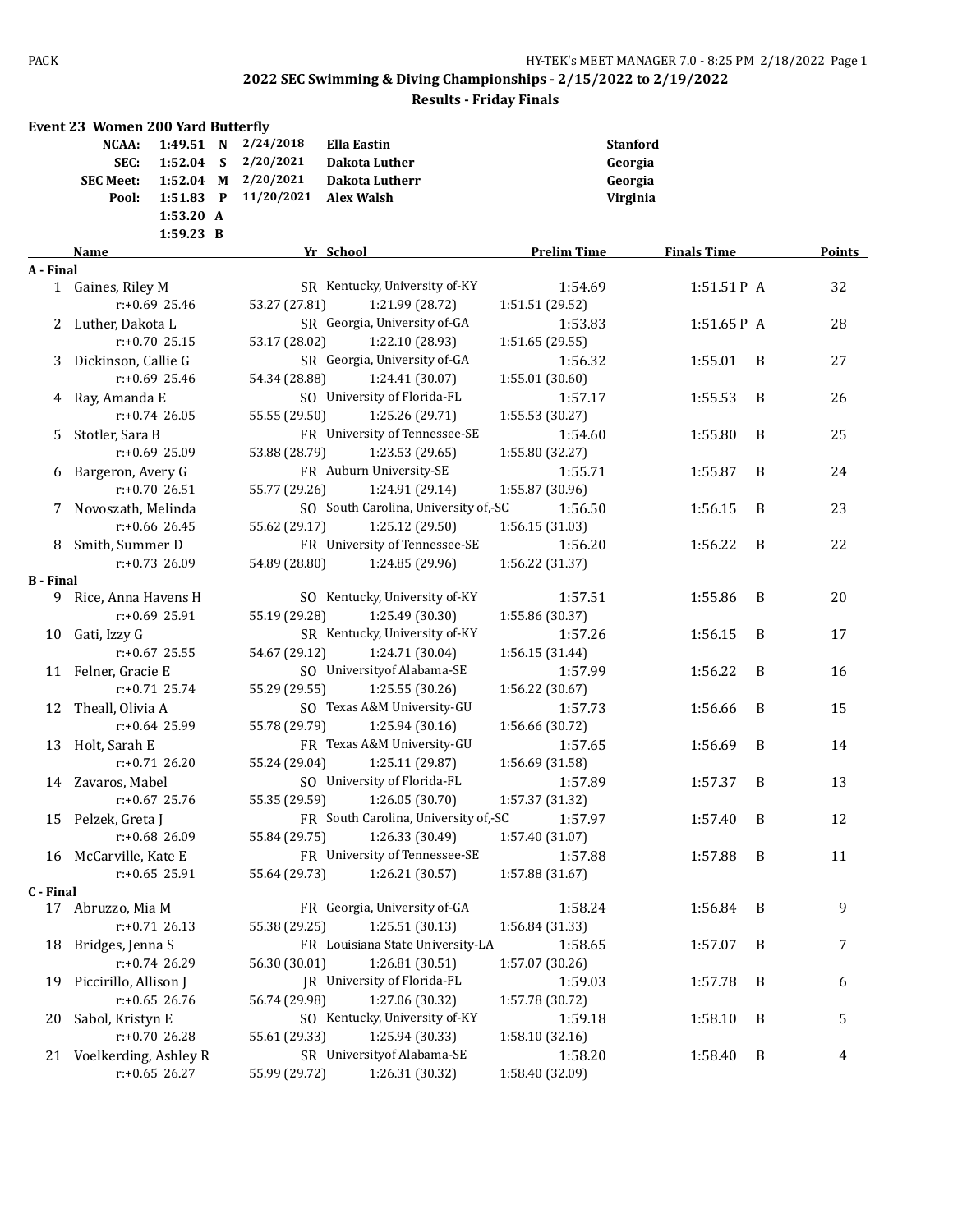| 1:49.51 N<br>2/24/2018<br><b>Stanford</b><br>NCAA:<br><b>Ella Eastin</b><br>2/20/2021<br>SEC:<br>$1:52.04$ S<br>Dakota Luther<br>Georgia<br>2/20/2021<br><b>SEC Meet:</b><br>1:52.04 M<br>Dakota Lutherr<br>Georgia<br>1:51.83 P<br>11/20/2021<br>Pool:<br><b>Alex Walsh</b><br>Virginia<br>1:53.20 A<br>1:59.23 B<br>Yr School<br>Points<br>Name<br><b>Prelim Time</b><br><b>Finals Time</b><br>A - Final<br>SR Kentucky, University of-KY<br>32<br>1 Gaines, Riley M<br>1:54.69<br>1:51.51P A<br>$r: +0.69$ 25.46<br>53.27 (27.81)<br>1:21.99 (28.72)<br>1:51.51 (29.52)<br>SR Georgia, University of-GA<br>28<br>2 Luther, Dakota L<br>1:53.83<br>$1:51.65P$ A<br>53.17 (28.02)<br>1:22.10 (28.93)<br>$r: +0.70$ 25.15<br>1:51.65 (29.55)<br>SR Georgia, University of-GA<br>27<br>Dickinson, Callie G<br>1:56.32<br>1:55.01<br>B<br>3<br>$r: +0.69$ 25.46<br>54.34 (28.88)<br>1:24.41 (30.07)<br>1:55.01 (30.60)<br>SO University of Florida-FL<br>B<br>26<br>4 Ray, Amanda E<br>1:57.17<br>1:55.53<br>$r: +0.74$ 26.05<br>55.55 (29.50)<br>1:25.26 (29.71)<br>1:55.53 (30.27)<br>FR University of Tennessee-SE<br>Stotler, Sara B<br>1:55.80<br>25<br>1:54.60<br>B<br>5.<br>r:+0.69 25.09<br>53.88 (28.79)<br>1:23.53 (29.65)<br>1:55.80 (32.27)<br>FR Auburn University-SE<br>6 Bargeron, Avery G<br>1:55.71<br>1:55.87<br>B<br>24<br>r:+0.70 26.51<br>55.77 (29.26)<br>1:24.91 (29.14)<br>1:55.87 (30.96)<br>SO South Carolina, University of,-SC<br>23<br>7 Novoszath, Melinda<br>1:56.50<br>1:56.15<br>B<br>1:25.12 (29.50)<br>$r: +0.66$ 26.45<br>55.62 (29.17)<br>1:56.15 (31.03)<br>FR University of Tennessee-SE<br>8 Smith, Summer D<br>1:56.20<br>B<br>22<br>1:56.22<br>54.89 (28.80)<br>1:24.85 (29.96)<br>$r: +0.73$ 26.09<br>1:56.22 (31.37)<br><b>B</b> - Final<br>SO Kentucky, University of-KY<br>Rice, Anna Havens H<br>1:57.51<br>1:55.86<br>B<br>20<br>9.<br>$r: +0.69$ 25.91<br>55.19 (29.28)<br>1:25.49 (30.30)<br>1:55.86 (30.37)<br>SR Kentucky, University of-KY<br>Gati, Izzy G<br>1:57.26<br>1:56.15<br>B<br>17<br>10<br>$r: +0.67$ 25.55<br>54.67 (29.12)<br>1:24.71 (30.04)<br>1:56.15 (31.44)<br>SO University of Alabama-SE<br>11 Felner, Gracie E<br>B<br>1:57.99<br>1:56.22<br>16<br>$r: +0.71$ 25.74<br>55.29 (29.55)<br>1:25.55 (30.26)<br>1:56.22 (30.67)<br>SO Texas A&M University-GU<br>Theall, Olivia A<br>15<br>1:57.73<br>1:56.66<br>B<br>12<br>r:+0.64 25.99<br>55.78 (29.79)<br>1:25.94 (30.16)<br>1:56.66 (30.72)<br>FR Texas A&M University-GU<br>Holt, Sarah E<br>1:57.65<br>1:56.69<br>B<br>14<br>13<br>$r: +0.71$ 26.20<br>55.24 (29.04)<br>1:25.11 (29.87)<br>1:56.69 (31.58)<br>SO University of Florida-FL<br>13<br>14 Zavaros, Mabel<br>1:57.89<br>B<br>1:57.37<br>55.35 (29.59)<br>1:26.05 (30.70)<br>$r: +0.67$ 25.76<br>1:57.37 (31.32)<br>FR South Carolina, University of,-SC 1:57.97<br>15 Pelzek, Greta J<br>1:57.40<br>$\overline{B}$<br>12<br>r:+0.68 26.09<br>1:26.33 (30.49)<br>1:57.40 (31.07)<br>55.84 (29.75)<br>FR University of Tennessee-SE<br>16 McCarville, Kate E<br>1:57.88<br>1:57.88<br>11<br>B<br>1:26.21 (30.57)<br>$r: +0.65$ 25.91<br>55.64 (29.73)<br>1:57.88 (31.67)<br>C - Final<br>FR Georgia, University of-GA<br>1:58.24<br>9<br>17 Abruzzo, Mia M<br>1:56.84<br>B<br>$r: +0.71$ 26.13<br>1:25.51 (30.13)<br>55.38 (29.25)<br>1:56.84 (31.33)<br>FR Louisiana State University-LA<br>Bridges, Jenna S<br>1:58.65<br>1:57.07<br>B<br>7<br>18<br>r:+0.74 26.29<br>1:26.81 (30.51)<br>56.30 (30.01)<br>1:57.07 (30.26)<br>JR University of Florida-FL<br>Piccirillo, Allison J<br>1:59.03<br>1:57.78<br>B<br>6<br>19<br>$r: +0.65$ 26.76<br>56.74 (29.98)<br>1:27.06 (30.32)<br>1:57.78 (30.72)<br>SO Kentucky, University of-KY<br>5<br>Sabol, Kristyn E<br>1:59.18<br>1:58.10<br>B<br>20<br>r:+0.70 26.28<br>55.61 (29.33)<br>1:25.94 (30.33)<br>1:58.10 (32.16)<br>SR University of Alabama-SE<br>21 Voelkerding, Ashley R<br>1:58.20<br>1:58.40<br>B<br>4<br>$r: +0.65$ 26.27<br>1:26.31 (30.32)<br>55.99 (29.72)<br>1:58.40 (32.09) | <b>Event 23 Women 200 Yard Butterfly</b> |  |  |  |  |
|---------------------------------------------------------------------------------------------------------------------------------------------------------------------------------------------------------------------------------------------------------------------------------------------------------------------------------------------------------------------------------------------------------------------------------------------------------------------------------------------------------------------------------------------------------------------------------------------------------------------------------------------------------------------------------------------------------------------------------------------------------------------------------------------------------------------------------------------------------------------------------------------------------------------------------------------------------------------------------------------------------------------------------------------------------------------------------------------------------------------------------------------------------------------------------------------------------------------------------------------------------------------------------------------------------------------------------------------------------------------------------------------------------------------------------------------------------------------------------------------------------------------------------------------------------------------------------------------------------------------------------------------------------------------------------------------------------------------------------------------------------------------------------------------------------------------------------------------------------------------------------------------------------------------------------------------------------------------------------------------------------------------------------------------------------------------------------------------------------------------------------------------------------------------------------------------------------------------------------------------------------------------------------------------------------------------------------------------------------------------------------------------------------------------------------------------------------------------------------------------------------------------------------------------------------------------------------------------------------------------------------------------------------------------------------------------------------------------------------------------------------------------------------------------------------------------------------------------------------------------------------------------------------------------------------------------------------------------------------------------------------------------------------------------------------------------------------------------------------------------------------------------------------------------------------------------------------------------------------------------------------------------------------------------------------------------------------------------------------------------------------------------------------------------------------------------------------------------------------------------------------------------------------------------------------------------------------------------------------------------------------------------------------------------------------------------------------------------------------------------------------------------------------------------------------------------------------------------------------------------------------------------------------------------------------------------------------------------------------------------------------------------------------|------------------------------------------|--|--|--|--|
|                                                                                                                                                                                                                                                                                                                                                                                                                                                                                                                                                                                                                                                                                                                                                                                                                                                                                                                                                                                                                                                                                                                                                                                                                                                                                                                                                                                                                                                                                                                                                                                                                                                                                                                                                                                                                                                                                                                                                                                                                                                                                                                                                                                                                                                                                                                                                                                                                                                                                                                                                                                                                                                                                                                                                                                                                                                                                                                                                                                                                                                                                                                                                                                                                                                                                                                                                                                                                                                                                                                                                                                                                                                                                                                                                                                                                                                                                                                                                                                                                                 |                                          |  |  |  |  |
|                                                                                                                                                                                                                                                                                                                                                                                                                                                                                                                                                                                                                                                                                                                                                                                                                                                                                                                                                                                                                                                                                                                                                                                                                                                                                                                                                                                                                                                                                                                                                                                                                                                                                                                                                                                                                                                                                                                                                                                                                                                                                                                                                                                                                                                                                                                                                                                                                                                                                                                                                                                                                                                                                                                                                                                                                                                                                                                                                                                                                                                                                                                                                                                                                                                                                                                                                                                                                                                                                                                                                                                                                                                                                                                                                                                                                                                                                                                                                                                                                                 |                                          |  |  |  |  |
|                                                                                                                                                                                                                                                                                                                                                                                                                                                                                                                                                                                                                                                                                                                                                                                                                                                                                                                                                                                                                                                                                                                                                                                                                                                                                                                                                                                                                                                                                                                                                                                                                                                                                                                                                                                                                                                                                                                                                                                                                                                                                                                                                                                                                                                                                                                                                                                                                                                                                                                                                                                                                                                                                                                                                                                                                                                                                                                                                                                                                                                                                                                                                                                                                                                                                                                                                                                                                                                                                                                                                                                                                                                                                                                                                                                                                                                                                                                                                                                                                                 |                                          |  |  |  |  |
|                                                                                                                                                                                                                                                                                                                                                                                                                                                                                                                                                                                                                                                                                                                                                                                                                                                                                                                                                                                                                                                                                                                                                                                                                                                                                                                                                                                                                                                                                                                                                                                                                                                                                                                                                                                                                                                                                                                                                                                                                                                                                                                                                                                                                                                                                                                                                                                                                                                                                                                                                                                                                                                                                                                                                                                                                                                                                                                                                                                                                                                                                                                                                                                                                                                                                                                                                                                                                                                                                                                                                                                                                                                                                                                                                                                                                                                                                                                                                                                                                                 |                                          |  |  |  |  |
|                                                                                                                                                                                                                                                                                                                                                                                                                                                                                                                                                                                                                                                                                                                                                                                                                                                                                                                                                                                                                                                                                                                                                                                                                                                                                                                                                                                                                                                                                                                                                                                                                                                                                                                                                                                                                                                                                                                                                                                                                                                                                                                                                                                                                                                                                                                                                                                                                                                                                                                                                                                                                                                                                                                                                                                                                                                                                                                                                                                                                                                                                                                                                                                                                                                                                                                                                                                                                                                                                                                                                                                                                                                                                                                                                                                                                                                                                                                                                                                                                                 |                                          |  |  |  |  |
|                                                                                                                                                                                                                                                                                                                                                                                                                                                                                                                                                                                                                                                                                                                                                                                                                                                                                                                                                                                                                                                                                                                                                                                                                                                                                                                                                                                                                                                                                                                                                                                                                                                                                                                                                                                                                                                                                                                                                                                                                                                                                                                                                                                                                                                                                                                                                                                                                                                                                                                                                                                                                                                                                                                                                                                                                                                                                                                                                                                                                                                                                                                                                                                                                                                                                                                                                                                                                                                                                                                                                                                                                                                                                                                                                                                                                                                                                                                                                                                                                                 |                                          |  |  |  |  |
|                                                                                                                                                                                                                                                                                                                                                                                                                                                                                                                                                                                                                                                                                                                                                                                                                                                                                                                                                                                                                                                                                                                                                                                                                                                                                                                                                                                                                                                                                                                                                                                                                                                                                                                                                                                                                                                                                                                                                                                                                                                                                                                                                                                                                                                                                                                                                                                                                                                                                                                                                                                                                                                                                                                                                                                                                                                                                                                                                                                                                                                                                                                                                                                                                                                                                                                                                                                                                                                                                                                                                                                                                                                                                                                                                                                                                                                                                                                                                                                                                                 |                                          |  |  |  |  |
|                                                                                                                                                                                                                                                                                                                                                                                                                                                                                                                                                                                                                                                                                                                                                                                                                                                                                                                                                                                                                                                                                                                                                                                                                                                                                                                                                                                                                                                                                                                                                                                                                                                                                                                                                                                                                                                                                                                                                                                                                                                                                                                                                                                                                                                                                                                                                                                                                                                                                                                                                                                                                                                                                                                                                                                                                                                                                                                                                                                                                                                                                                                                                                                                                                                                                                                                                                                                                                                                                                                                                                                                                                                                                                                                                                                                                                                                                                                                                                                                                                 |                                          |  |  |  |  |
|                                                                                                                                                                                                                                                                                                                                                                                                                                                                                                                                                                                                                                                                                                                                                                                                                                                                                                                                                                                                                                                                                                                                                                                                                                                                                                                                                                                                                                                                                                                                                                                                                                                                                                                                                                                                                                                                                                                                                                                                                                                                                                                                                                                                                                                                                                                                                                                                                                                                                                                                                                                                                                                                                                                                                                                                                                                                                                                                                                                                                                                                                                                                                                                                                                                                                                                                                                                                                                                                                                                                                                                                                                                                                                                                                                                                                                                                                                                                                                                                                                 |                                          |  |  |  |  |
|                                                                                                                                                                                                                                                                                                                                                                                                                                                                                                                                                                                                                                                                                                                                                                                                                                                                                                                                                                                                                                                                                                                                                                                                                                                                                                                                                                                                                                                                                                                                                                                                                                                                                                                                                                                                                                                                                                                                                                                                                                                                                                                                                                                                                                                                                                                                                                                                                                                                                                                                                                                                                                                                                                                                                                                                                                                                                                                                                                                                                                                                                                                                                                                                                                                                                                                                                                                                                                                                                                                                                                                                                                                                                                                                                                                                                                                                                                                                                                                                                                 |                                          |  |  |  |  |
|                                                                                                                                                                                                                                                                                                                                                                                                                                                                                                                                                                                                                                                                                                                                                                                                                                                                                                                                                                                                                                                                                                                                                                                                                                                                                                                                                                                                                                                                                                                                                                                                                                                                                                                                                                                                                                                                                                                                                                                                                                                                                                                                                                                                                                                                                                                                                                                                                                                                                                                                                                                                                                                                                                                                                                                                                                                                                                                                                                                                                                                                                                                                                                                                                                                                                                                                                                                                                                                                                                                                                                                                                                                                                                                                                                                                                                                                                                                                                                                                                                 |                                          |  |  |  |  |
|                                                                                                                                                                                                                                                                                                                                                                                                                                                                                                                                                                                                                                                                                                                                                                                                                                                                                                                                                                                                                                                                                                                                                                                                                                                                                                                                                                                                                                                                                                                                                                                                                                                                                                                                                                                                                                                                                                                                                                                                                                                                                                                                                                                                                                                                                                                                                                                                                                                                                                                                                                                                                                                                                                                                                                                                                                                                                                                                                                                                                                                                                                                                                                                                                                                                                                                                                                                                                                                                                                                                                                                                                                                                                                                                                                                                                                                                                                                                                                                                                                 |                                          |  |  |  |  |
|                                                                                                                                                                                                                                                                                                                                                                                                                                                                                                                                                                                                                                                                                                                                                                                                                                                                                                                                                                                                                                                                                                                                                                                                                                                                                                                                                                                                                                                                                                                                                                                                                                                                                                                                                                                                                                                                                                                                                                                                                                                                                                                                                                                                                                                                                                                                                                                                                                                                                                                                                                                                                                                                                                                                                                                                                                                                                                                                                                                                                                                                                                                                                                                                                                                                                                                                                                                                                                                                                                                                                                                                                                                                                                                                                                                                                                                                                                                                                                                                                                 |                                          |  |  |  |  |
|                                                                                                                                                                                                                                                                                                                                                                                                                                                                                                                                                                                                                                                                                                                                                                                                                                                                                                                                                                                                                                                                                                                                                                                                                                                                                                                                                                                                                                                                                                                                                                                                                                                                                                                                                                                                                                                                                                                                                                                                                                                                                                                                                                                                                                                                                                                                                                                                                                                                                                                                                                                                                                                                                                                                                                                                                                                                                                                                                                                                                                                                                                                                                                                                                                                                                                                                                                                                                                                                                                                                                                                                                                                                                                                                                                                                                                                                                                                                                                                                                                 |                                          |  |  |  |  |
|                                                                                                                                                                                                                                                                                                                                                                                                                                                                                                                                                                                                                                                                                                                                                                                                                                                                                                                                                                                                                                                                                                                                                                                                                                                                                                                                                                                                                                                                                                                                                                                                                                                                                                                                                                                                                                                                                                                                                                                                                                                                                                                                                                                                                                                                                                                                                                                                                                                                                                                                                                                                                                                                                                                                                                                                                                                                                                                                                                                                                                                                                                                                                                                                                                                                                                                                                                                                                                                                                                                                                                                                                                                                                                                                                                                                                                                                                                                                                                                                                                 |                                          |  |  |  |  |
|                                                                                                                                                                                                                                                                                                                                                                                                                                                                                                                                                                                                                                                                                                                                                                                                                                                                                                                                                                                                                                                                                                                                                                                                                                                                                                                                                                                                                                                                                                                                                                                                                                                                                                                                                                                                                                                                                                                                                                                                                                                                                                                                                                                                                                                                                                                                                                                                                                                                                                                                                                                                                                                                                                                                                                                                                                                                                                                                                                                                                                                                                                                                                                                                                                                                                                                                                                                                                                                                                                                                                                                                                                                                                                                                                                                                                                                                                                                                                                                                                                 |                                          |  |  |  |  |
|                                                                                                                                                                                                                                                                                                                                                                                                                                                                                                                                                                                                                                                                                                                                                                                                                                                                                                                                                                                                                                                                                                                                                                                                                                                                                                                                                                                                                                                                                                                                                                                                                                                                                                                                                                                                                                                                                                                                                                                                                                                                                                                                                                                                                                                                                                                                                                                                                                                                                                                                                                                                                                                                                                                                                                                                                                                                                                                                                                                                                                                                                                                                                                                                                                                                                                                                                                                                                                                                                                                                                                                                                                                                                                                                                                                                                                                                                                                                                                                                                                 |                                          |  |  |  |  |
|                                                                                                                                                                                                                                                                                                                                                                                                                                                                                                                                                                                                                                                                                                                                                                                                                                                                                                                                                                                                                                                                                                                                                                                                                                                                                                                                                                                                                                                                                                                                                                                                                                                                                                                                                                                                                                                                                                                                                                                                                                                                                                                                                                                                                                                                                                                                                                                                                                                                                                                                                                                                                                                                                                                                                                                                                                                                                                                                                                                                                                                                                                                                                                                                                                                                                                                                                                                                                                                                                                                                                                                                                                                                                                                                                                                                                                                                                                                                                                                                                                 |                                          |  |  |  |  |
|                                                                                                                                                                                                                                                                                                                                                                                                                                                                                                                                                                                                                                                                                                                                                                                                                                                                                                                                                                                                                                                                                                                                                                                                                                                                                                                                                                                                                                                                                                                                                                                                                                                                                                                                                                                                                                                                                                                                                                                                                                                                                                                                                                                                                                                                                                                                                                                                                                                                                                                                                                                                                                                                                                                                                                                                                                                                                                                                                                                                                                                                                                                                                                                                                                                                                                                                                                                                                                                                                                                                                                                                                                                                                                                                                                                                                                                                                                                                                                                                                                 |                                          |  |  |  |  |
|                                                                                                                                                                                                                                                                                                                                                                                                                                                                                                                                                                                                                                                                                                                                                                                                                                                                                                                                                                                                                                                                                                                                                                                                                                                                                                                                                                                                                                                                                                                                                                                                                                                                                                                                                                                                                                                                                                                                                                                                                                                                                                                                                                                                                                                                                                                                                                                                                                                                                                                                                                                                                                                                                                                                                                                                                                                                                                                                                                                                                                                                                                                                                                                                                                                                                                                                                                                                                                                                                                                                                                                                                                                                                                                                                                                                                                                                                                                                                                                                                                 |                                          |  |  |  |  |
|                                                                                                                                                                                                                                                                                                                                                                                                                                                                                                                                                                                                                                                                                                                                                                                                                                                                                                                                                                                                                                                                                                                                                                                                                                                                                                                                                                                                                                                                                                                                                                                                                                                                                                                                                                                                                                                                                                                                                                                                                                                                                                                                                                                                                                                                                                                                                                                                                                                                                                                                                                                                                                                                                                                                                                                                                                                                                                                                                                                                                                                                                                                                                                                                                                                                                                                                                                                                                                                                                                                                                                                                                                                                                                                                                                                                                                                                                                                                                                                                                                 |                                          |  |  |  |  |
|                                                                                                                                                                                                                                                                                                                                                                                                                                                                                                                                                                                                                                                                                                                                                                                                                                                                                                                                                                                                                                                                                                                                                                                                                                                                                                                                                                                                                                                                                                                                                                                                                                                                                                                                                                                                                                                                                                                                                                                                                                                                                                                                                                                                                                                                                                                                                                                                                                                                                                                                                                                                                                                                                                                                                                                                                                                                                                                                                                                                                                                                                                                                                                                                                                                                                                                                                                                                                                                                                                                                                                                                                                                                                                                                                                                                                                                                                                                                                                                                                                 |                                          |  |  |  |  |
|                                                                                                                                                                                                                                                                                                                                                                                                                                                                                                                                                                                                                                                                                                                                                                                                                                                                                                                                                                                                                                                                                                                                                                                                                                                                                                                                                                                                                                                                                                                                                                                                                                                                                                                                                                                                                                                                                                                                                                                                                                                                                                                                                                                                                                                                                                                                                                                                                                                                                                                                                                                                                                                                                                                                                                                                                                                                                                                                                                                                                                                                                                                                                                                                                                                                                                                                                                                                                                                                                                                                                                                                                                                                                                                                                                                                                                                                                                                                                                                                                                 |                                          |  |  |  |  |
|                                                                                                                                                                                                                                                                                                                                                                                                                                                                                                                                                                                                                                                                                                                                                                                                                                                                                                                                                                                                                                                                                                                                                                                                                                                                                                                                                                                                                                                                                                                                                                                                                                                                                                                                                                                                                                                                                                                                                                                                                                                                                                                                                                                                                                                                                                                                                                                                                                                                                                                                                                                                                                                                                                                                                                                                                                                                                                                                                                                                                                                                                                                                                                                                                                                                                                                                                                                                                                                                                                                                                                                                                                                                                                                                                                                                                                                                                                                                                                                                                                 |                                          |  |  |  |  |
|                                                                                                                                                                                                                                                                                                                                                                                                                                                                                                                                                                                                                                                                                                                                                                                                                                                                                                                                                                                                                                                                                                                                                                                                                                                                                                                                                                                                                                                                                                                                                                                                                                                                                                                                                                                                                                                                                                                                                                                                                                                                                                                                                                                                                                                                                                                                                                                                                                                                                                                                                                                                                                                                                                                                                                                                                                                                                                                                                                                                                                                                                                                                                                                                                                                                                                                                                                                                                                                                                                                                                                                                                                                                                                                                                                                                                                                                                                                                                                                                                                 |                                          |  |  |  |  |
|                                                                                                                                                                                                                                                                                                                                                                                                                                                                                                                                                                                                                                                                                                                                                                                                                                                                                                                                                                                                                                                                                                                                                                                                                                                                                                                                                                                                                                                                                                                                                                                                                                                                                                                                                                                                                                                                                                                                                                                                                                                                                                                                                                                                                                                                                                                                                                                                                                                                                                                                                                                                                                                                                                                                                                                                                                                                                                                                                                                                                                                                                                                                                                                                                                                                                                                                                                                                                                                                                                                                                                                                                                                                                                                                                                                                                                                                                                                                                                                                                                 |                                          |  |  |  |  |
|                                                                                                                                                                                                                                                                                                                                                                                                                                                                                                                                                                                                                                                                                                                                                                                                                                                                                                                                                                                                                                                                                                                                                                                                                                                                                                                                                                                                                                                                                                                                                                                                                                                                                                                                                                                                                                                                                                                                                                                                                                                                                                                                                                                                                                                                                                                                                                                                                                                                                                                                                                                                                                                                                                                                                                                                                                                                                                                                                                                                                                                                                                                                                                                                                                                                                                                                                                                                                                                                                                                                                                                                                                                                                                                                                                                                                                                                                                                                                                                                                                 |                                          |  |  |  |  |
|                                                                                                                                                                                                                                                                                                                                                                                                                                                                                                                                                                                                                                                                                                                                                                                                                                                                                                                                                                                                                                                                                                                                                                                                                                                                                                                                                                                                                                                                                                                                                                                                                                                                                                                                                                                                                                                                                                                                                                                                                                                                                                                                                                                                                                                                                                                                                                                                                                                                                                                                                                                                                                                                                                                                                                                                                                                                                                                                                                                                                                                                                                                                                                                                                                                                                                                                                                                                                                                                                                                                                                                                                                                                                                                                                                                                                                                                                                                                                                                                                                 |                                          |  |  |  |  |
|                                                                                                                                                                                                                                                                                                                                                                                                                                                                                                                                                                                                                                                                                                                                                                                                                                                                                                                                                                                                                                                                                                                                                                                                                                                                                                                                                                                                                                                                                                                                                                                                                                                                                                                                                                                                                                                                                                                                                                                                                                                                                                                                                                                                                                                                                                                                                                                                                                                                                                                                                                                                                                                                                                                                                                                                                                                                                                                                                                                                                                                                                                                                                                                                                                                                                                                                                                                                                                                                                                                                                                                                                                                                                                                                                                                                                                                                                                                                                                                                                                 |                                          |  |  |  |  |
|                                                                                                                                                                                                                                                                                                                                                                                                                                                                                                                                                                                                                                                                                                                                                                                                                                                                                                                                                                                                                                                                                                                                                                                                                                                                                                                                                                                                                                                                                                                                                                                                                                                                                                                                                                                                                                                                                                                                                                                                                                                                                                                                                                                                                                                                                                                                                                                                                                                                                                                                                                                                                                                                                                                                                                                                                                                                                                                                                                                                                                                                                                                                                                                                                                                                                                                                                                                                                                                                                                                                                                                                                                                                                                                                                                                                                                                                                                                                                                                                                                 |                                          |  |  |  |  |
|                                                                                                                                                                                                                                                                                                                                                                                                                                                                                                                                                                                                                                                                                                                                                                                                                                                                                                                                                                                                                                                                                                                                                                                                                                                                                                                                                                                                                                                                                                                                                                                                                                                                                                                                                                                                                                                                                                                                                                                                                                                                                                                                                                                                                                                                                                                                                                                                                                                                                                                                                                                                                                                                                                                                                                                                                                                                                                                                                                                                                                                                                                                                                                                                                                                                                                                                                                                                                                                                                                                                                                                                                                                                                                                                                                                                                                                                                                                                                                                                                                 |                                          |  |  |  |  |
|                                                                                                                                                                                                                                                                                                                                                                                                                                                                                                                                                                                                                                                                                                                                                                                                                                                                                                                                                                                                                                                                                                                                                                                                                                                                                                                                                                                                                                                                                                                                                                                                                                                                                                                                                                                                                                                                                                                                                                                                                                                                                                                                                                                                                                                                                                                                                                                                                                                                                                                                                                                                                                                                                                                                                                                                                                                                                                                                                                                                                                                                                                                                                                                                                                                                                                                                                                                                                                                                                                                                                                                                                                                                                                                                                                                                                                                                                                                                                                                                                                 |                                          |  |  |  |  |
|                                                                                                                                                                                                                                                                                                                                                                                                                                                                                                                                                                                                                                                                                                                                                                                                                                                                                                                                                                                                                                                                                                                                                                                                                                                                                                                                                                                                                                                                                                                                                                                                                                                                                                                                                                                                                                                                                                                                                                                                                                                                                                                                                                                                                                                                                                                                                                                                                                                                                                                                                                                                                                                                                                                                                                                                                                                                                                                                                                                                                                                                                                                                                                                                                                                                                                                                                                                                                                                                                                                                                                                                                                                                                                                                                                                                                                                                                                                                                                                                                                 |                                          |  |  |  |  |
|                                                                                                                                                                                                                                                                                                                                                                                                                                                                                                                                                                                                                                                                                                                                                                                                                                                                                                                                                                                                                                                                                                                                                                                                                                                                                                                                                                                                                                                                                                                                                                                                                                                                                                                                                                                                                                                                                                                                                                                                                                                                                                                                                                                                                                                                                                                                                                                                                                                                                                                                                                                                                                                                                                                                                                                                                                                                                                                                                                                                                                                                                                                                                                                                                                                                                                                                                                                                                                                                                                                                                                                                                                                                                                                                                                                                                                                                                                                                                                                                                                 |                                          |  |  |  |  |
|                                                                                                                                                                                                                                                                                                                                                                                                                                                                                                                                                                                                                                                                                                                                                                                                                                                                                                                                                                                                                                                                                                                                                                                                                                                                                                                                                                                                                                                                                                                                                                                                                                                                                                                                                                                                                                                                                                                                                                                                                                                                                                                                                                                                                                                                                                                                                                                                                                                                                                                                                                                                                                                                                                                                                                                                                                                                                                                                                                                                                                                                                                                                                                                                                                                                                                                                                                                                                                                                                                                                                                                                                                                                                                                                                                                                                                                                                                                                                                                                                                 |                                          |  |  |  |  |
|                                                                                                                                                                                                                                                                                                                                                                                                                                                                                                                                                                                                                                                                                                                                                                                                                                                                                                                                                                                                                                                                                                                                                                                                                                                                                                                                                                                                                                                                                                                                                                                                                                                                                                                                                                                                                                                                                                                                                                                                                                                                                                                                                                                                                                                                                                                                                                                                                                                                                                                                                                                                                                                                                                                                                                                                                                                                                                                                                                                                                                                                                                                                                                                                                                                                                                                                                                                                                                                                                                                                                                                                                                                                                                                                                                                                                                                                                                                                                                                                                                 |                                          |  |  |  |  |
|                                                                                                                                                                                                                                                                                                                                                                                                                                                                                                                                                                                                                                                                                                                                                                                                                                                                                                                                                                                                                                                                                                                                                                                                                                                                                                                                                                                                                                                                                                                                                                                                                                                                                                                                                                                                                                                                                                                                                                                                                                                                                                                                                                                                                                                                                                                                                                                                                                                                                                                                                                                                                                                                                                                                                                                                                                                                                                                                                                                                                                                                                                                                                                                                                                                                                                                                                                                                                                                                                                                                                                                                                                                                                                                                                                                                                                                                                                                                                                                                                                 |                                          |  |  |  |  |
|                                                                                                                                                                                                                                                                                                                                                                                                                                                                                                                                                                                                                                                                                                                                                                                                                                                                                                                                                                                                                                                                                                                                                                                                                                                                                                                                                                                                                                                                                                                                                                                                                                                                                                                                                                                                                                                                                                                                                                                                                                                                                                                                                                                                                                                                                                                                                                                                                                                                                                                                                                                                                                                                                                                                                                                                                                                                                                                                                                                                                                                                                                                                                                                                                                                                                                                                                                                                                                                                                                                                                                                                                                                                                                                                                                                                                                                                                                                                                                                                                                 |                                          |  |  |  |  |
|                                                                                                                                                                                                                                                                                                                                                                                                                                                                                                                                                                                                                                                                                                                                                                                                                                                                                                                                                                                                                                                                                                                                                                                                                                                                                                                                                                                                                                                                                                                                                                                                                                                                                                                                                                                                                                                                                                                                                                                                                                                                                                                                                                                                                                                                                                                                                                                                                                                                                                                                                                                                                                                                                                                                                                                                                                                                                                                                                                                                                                                                                                                                                                                                                                                                                                                                                                                                                                                                                                                                                                                                                                                                                                                                                                                                                                                                                                                                                                                                                                 |                                          |  |  |  |  |
|                                                                                                                                                                                                                                                                                                                                                                                                                                                                                                                                                                                                                                                                                                                                                                                                                                                                                                                                                                                                                                                                                                                                                                                                                                                                                                                                                                                                                                                                                                                                                                                                                                                                                                                                                                                                                                                                                                                                                                                                                                                                                                                                                                                                                                                                                                                                                                                                                                                                                                                                                                                                                                                                                                                                                                                                                                                                                                                                                                                                                                                                                                                                                                                                                                                                                                                                                                                                                                                                                                                                                                                                                                                                                                                                                                                                                                                                                                                                                                                                                                 |                                          |  |  |  |  |
|                                                                                                                                                                                                                                                                                                                                                                                                                                                                                                                                                                                                                                                                                                                                                                                                                                                                                                                                                                                                                                                                                                                                                                                                                                                                                                                                                                                                                                                                                                                                                                                                                                                                                                                                                                                                                                                                                                                                                                                                                                                                                                                                                                                                                                                                                                                                                                                                                                                                                                                                                                                                                                                                                                                                                                                                                                                                                                                                                                                                                                                                                                                                                                                                                                                                                                                                                                                                                                                                                                                                                                                                                                                                                                                                                                                                                                                                                                                                                                                                                                 |                                          |  |  |  |  |
|                                                                                                                                                                                                                                                                                                                                                                                                                                                                                                                                                                                                                                                                                                                                                                                                                                                                                                                                                                                                                                                                                                                                                                                                                                                                                                                                                                                                                                                                                                                                                                                                                                                                                                                                                                                                                                                                                                                                                                                                                                                                                                                                                                                                                                                                                                                                                                                                                                                                                                                                                                                                                                                                                                                                                                                                                                                                                                                                                                                                                                                                                                                                                                                                                                                                                                                                                                                                                                                                                                                                                                                                                                                                                                                                                                                                                                                                                                                                                                                                                                 |                                          |  |  |  |  |
|                                                                                                                                                                                                                                                                                                                                                                                                                                                                                                                                                                                                                                                                                                                                                                                                                                                                                                                                                                                                                                                                                                                                                                                                                                                                                                                                                                                                                                                                                                                                                                                                                                                                                                                                                                                                                                                                                                                                                                                                                                                                                                                                                                                                                                                                                                                                                                                                                                                                                                                                                                                                                                                                                                                                                                                                                                                                                                                                                                                                                                                                                                                                                                                                                                                                                                                                                                                                                                                                                                                                                                                                                                                                                                                                                                                                                                                                                                                                                                                                                                 |                                          |  |  |  |  |
|                                                                                                                                                                                                                                                                                                                                                                                                                                                                                                                                                                                                                                                                                                                                                                                                                                                                                                                                                                                                                                                                                                                                                                                                                                                                                                                                                                                                                                                                                                                                                                                                                                                                                                                                                                                                                                                                                                                                                                                                                                                                                                                                                                                                                                                                                                                                                                                                                                                                                                                                                                                                                                                                                                                                                                                                                                                                                                                                                                                                                                                                                                                                                                                                                                                                                                                                                                                                                                                                                                                                                                                                                                                                                                                                                                                                                                                                                                                                                                                                                                 |                                          |  |  |  |  |
|                                                                                                                                                                                                                                                                                                                                                                                                                                                                                                                                                                                                                                                                                                                                                                                                                                                                                                                                                                                                                                                                                                                                                                                                                                                                                                                                                                                                                                                                                                                                                                                                                                                                                                                                                                                                                                                                                                                                                                                                                                                                                                                                                                                                                                                                                                                                                                                                                                                                                                                                                                                                                                                                                                                                                                                                                                                                                                                                                                                                                                                                                                                                                                                                                                                                                                                                                                                                                                                                                                                                                                                                                                                                                                                                                                                                                                                                                                                                                                                                                                 |                                          |  |  |  |  |
|                                                                                                                                                                                                                                                                                                                                                                                                                                                                                                                                                                                                                                                                                                                                                                                                                                                                                                                                                                                                                                                                                                                                                                                                                                                                                                                                                                                                                                                                                                                                                                                                                                                                                                                                                                                                                                                                                                                                                                                                                                                                                                                                                                                                                                                                                                                                                                                                                                                                                                                                                                                                                                                                                                                                                                                                                                                                                                                                                                                                                                                                                                                                                                                                                                                                                                                                                                                                                                                                                                                                                                                                                                                                                                                                                                                                                                                                                                                                                                                                                                 |                                          |  |  |  |  |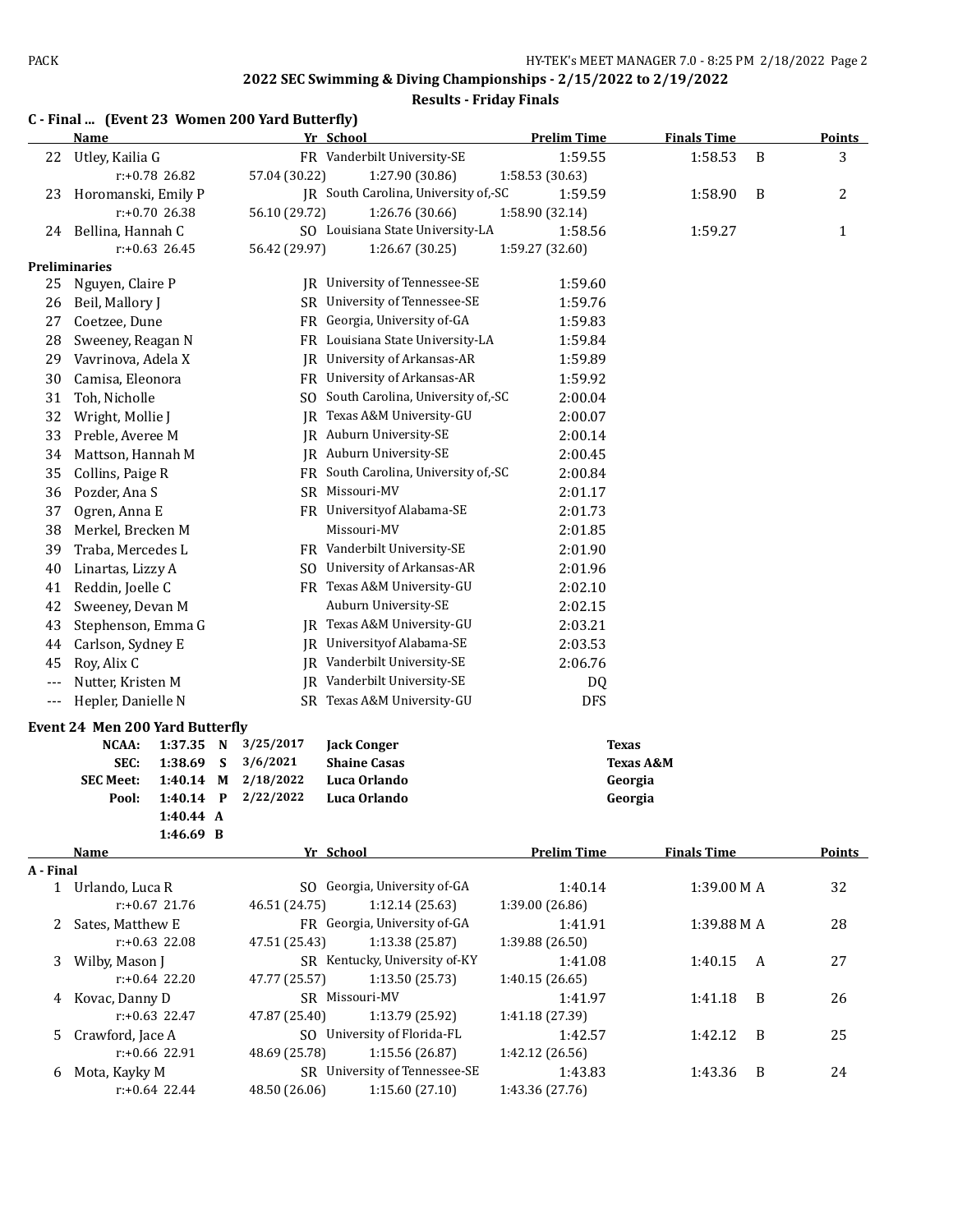|  |  |  | C - Final  (Event 23 Women 200 Yard Butterfly) |
|--|--|--|------------------------------------------------|
|--|--|--|------------------------------------------------|

|           | <b>Name</b>                              |                  |              |               | Yr School                            | <b>Prelim Time</b> | <b>Finals Time</b>   |   | <b>Points</b> |
|-----------|------------------------------------------|------------------|--------------|---------------|--------------------------------------|--------------------|----------------------|---|---------------|
| 22        | Utley, Kailia G                          |                  |              |               | FR Vanderbilt University-SE          | 1:59.55            | 1:58.53              | B | 3             |
|           |                                          | r:+0.78 26.82    |              | 57.04 (30.22) | 1:27.90 (30.86)                      | 1:58.53 (30.63)    |                      |   |               |
| 23        | Horomanski, Emily P                      |                  |              |               | JR South Carolina, University of,-SC | 1:59.59            | 1:58.90              | B | 2             |
|           |                                          | $r: +0.70$ 26.38 |              | 56.10 (29.72) | 1:26.76 (30.66)                      | 1:58.90 (32.14)    |                      |   |               |
| 24        | Bellina, Hannah C                        |                  |              |               | SO Louisiana State University-LA     | 1:58.56            | 1:59.27              |   | 1             |
|           |                                          | $r: +0.63$ 26.45 |              | 56.42 (29.97) | 1:26.67 (30.25)                      | 1:59.27 (32.60)    |                      |   |               |
|           | <b>Preliminaries</b>                     |                  |              |               |                                      |                    |                      |   |               |
| 25        | Nguyen, Claire P                         |                  |              |               | JR University of Tennessee-SE        | 1:59.60            |                      |   |               |
| 26        | Beil, Mallory J                          |                  |              |               | SR University of Tennessee-SE        | 1:59.76            |                      |   |               |
| 27        | Coetzee, Dune                            |                  |              |               | FR Georgia, University of-GA         | 1:59.83            |                      |   |               |
| 28        | Sweeney, Reagan N                        |                  |              |               | FR Louisiana State University-LA     | 1:59.84            |                      |   |               |
| 29        | Vavrinova, Adela X                       |                  |              |               | JR University of Arkansas-AR         | 1:59.89            |                      |   |               |
| 30        | Camisa, Eleonora                         |                  |              |               | FR University of Arkansas-AR         | 1:59.92            |                      |   |               |
| 31        | Toh, Nicholle                            |                  |              |               | SO South Carolina, University of,-SC | 2:00.04            |                      |   |               |
| 32        | Wright, Mollie J                         |                  |              | IR            | Texas A&M University-GU              | 2:00.07            |                      |   |               |
| 33        | Preble, Averee M                         |                  |              |               | JR Auburn University-SE              | 2:00.14            |                      |   |               |
| 34        | Mattson, Hannah M                        |                  |              |               | JR Auburn University-SE              | 2:00.45            |                      |   |               |
| 35        | Collins, Paige R                         |                  |              |               | FR South Carolina, University of,-SC | 2:00.84            |                      |   |               |
| 36        | Pozder, Ana S                            |                  |              |               | SR Missouri-MV                       | 2:01.17            |                      |   |               |
| 37        | Ogren, Anna E                            |                  |              |               | FR University of Alabama-SE          | 2:01.73            |                      |   |               |
| 38        | Merkel, Brecken M                        |                  |              |               | Missouri-MV                          | 2:01.85            |                      |   |               |
| 39        | Traba, Mercedes L                        |                  |              |               | FR Vanderbilt University-SE          | 2:01.90            |                      |   |               |
| 40        | Linartas, Lizzy A                        |                  |              |               | SO University of Arkansas-AR         | 2:01.96            |                      |   |               |
| 41        | Reddin, Joelle C                         |                  |              |               | FR Texas A&M University-GU           | 2:02.10            |                      |   |               |
| 42        | Sweeney, Devan M                         |                  |              |               | Auburn University-SE                 | 2:02.15            |                      |   |               |
| 43        | Stephenson, Emma G                       |                  |              |               | JR Texas A&M University-GU           | 2:03.21            |                      |   |               |
| 44        | Carlson, Sydney E                        |                  |              |               | JR University of Alabama-SE          | 2:03.53            |                      |   |               |
| 45        | Roy, Alix C                              |                  |              | IR            | Vanderbilt University-SE             | 2:06.76            |                      |   |               |
| ---       | Nutter, Kristen M                        |                  |              |               | JR Vanderbilt University-SE          | DQ                 |                      |   |               |
| ---       | Hepler, Danielle N                       |                  |              |               | SR Texas A&M University-GU           | DFS                |                      |   |               |
|           |                                          |                  |              |               |                                      |                    |                      |   |               |
|           | Event 24 Men 200 Yard Butterfly<br>NCAA: | 1:37.35 N        |              | 3/25/2017     | <b>Jack Conger</b>                   |                    | <b>Texas</b>         |   |               |
|           | SEC:                                     | 1:38.69          | S            | 3/6/2021      | <b>Shaine Casas</b>                  |                    | <b>Texas A&amp;M</b> |   |               |
|           | <b>SEC Meet:</b>                         | 1:40.14          | M            | 2/18/2022     | Luca Orlando                         |                    | Georgia              |   |               |
|           | Pool:                                    | 1:40.14          | $\mathbf{P}$ | 2/22/2022     | Luca Orlando                         |                    | Georgia              |   |               |
|           |                                          | 1:40.44 A        |              |               |                                      |                    |                      |   |               |
|           |                                          | 1:46.69 B        |              |               |                                      |                    |                      |   |               |
|           | <b>Name</b>                              |                  |              |               | Yr School                            | <b>Prelim Time</b> | <b>Finals Time</b>   |   | <b>Points</b> |
| A - Final |                                          |                  |              |               |                                      |                    |                      |   |               |
|           | 1 Urlando, Luca R                        |                  |              |               | SO Georgia, University of-GA         | 1:40.14            | 1:39.00 M A          |   | 32            |
|           |                                          | r:+0.67 21.76    |              | 46.51 (24.75) | 1:12.14(25.63)                       | 1:39.00 (26.86)    |                      |   |               |
| 2         | Sates, Matthew E                         |                  |              |               | FR Georgia, University of-GA         | 1:41.91            | 1:39.88 M A          |   | 28            |
|           |                                          | $r: +0.63$ 22.08 |              | 47.51 (25.43) | 1:13.38 (25.87)                      | 1:39.88 (26.50)    |                      |   |               |
| 3         | Wilby, Mason J                           |                  |              |               | SR Kentucky, University of-KY        | 1:41.08            | 1:40.15              | A | 27            |
|           |                                          | $r: +0.64$ 22.20 |              | 47.77 (25.57) | 1:13.50 (25.73)                      | 1:40.15 (26.65)    |                      |   |               |
|           | 4 Kovac, Danny D                         |                  |              |               | SR Missouri-MV                       | 1:41.97            | 1:41.18              | B | 26            |
|           |                                          | $r: +0.63$ 22.47 |              | 47.87 (25.40) | 1:13.79 (25.92)                      | 1:41.18 (27.39)    |                      |   |               |
| 5         | Crawford, Jace A                         |                  |              |               | SO University of Florida-FL          | 1:42.57            | 1:42.12              | B | 25            |
|           |                                          | r:+0.66 22.91    |              | 48.69 (25.78) | 1:15.56 (26.87)                      | 1:42.12 (26.56)    |                      |   |               |
| 6         | Mota, Kayky M                            |                  |              |               | SR University of Tennessee-SE        | 1:43.83            | 1:43.36              | B | 24            |
|           |                                          | $r: +0.64$ 22.44 |              | 48.50 (26.06) | 1:15.60 (27.10)                      | 1:43.36 (27.76)    |                      |   |               |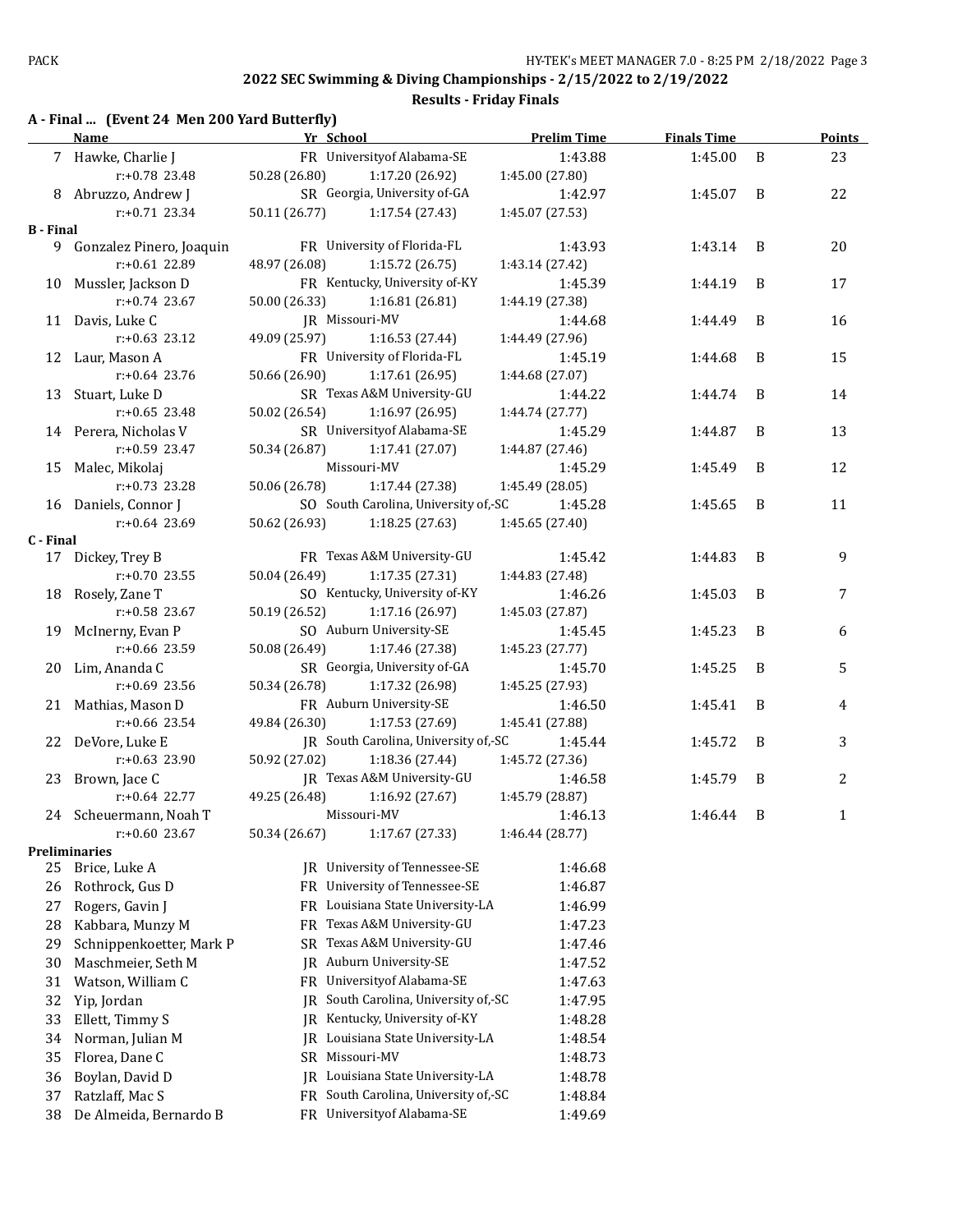**Results - Friday Finals**

## **A - Final ... (Event 24 Men 200 Yard Butterfly)**

|                  | <b>Example 2018</b> Pressure 2019 Press Press Press Press Press Press Press Press Press Press Press Press Press Press Press Press Press Press Press Press Press Press Press Press Press Press Press Press Press Press Press Press P<br>Name |               |                                                 | <b>Prelim Time</b>         | <b>Finals Time</b> |   | <b>Points</b> |
|------------------|---------------------------------------------------------------------------------------------------------------------------------------------------------------------------------------------------------------------------------------------|---------------|-------------------------------------------------|----------------------------|--------------------|---|---------------|
|                  | 7 Hawke, Charlie J                                                                                                                                                                                                                          |               | FR University of Alabama-SE                     | 1:43.88                    | 1:45.00            | B | 23            |
|                  | $r: +0.78$ 23.48                                                                                                                                                                                                                            | 50.28 (26.80) | 1:17.20 (26.92)                                 | 1:45.00 (27.80)            |                    |   |               |
|                  | 8 Abruzzo, Andrew J                                                                                                                                                                                                                         |               | SR Georgia, University of-GA                    | 1:42.97                    | 1:45.07 B          |   | 22            |
|                  | r:+0.71 23.34                                                                                                                                                                                                                               | 50.11 (26.77) | 1:17.54 (27.43)                                 | 1:45.07 (27.53)            |                    |   |               |
| <b>B</b> - Final |                                                                                                                                                                                                                                             |               |                                                 |                            |                    |   |               |
|                  | 9 Gonzalez Pinero, Joaquin                                                                                                                                                                                                                  |               | FR University of Florida-FL                     | 1:43.93                    | 1:43.14            | B | 20            |
|                  | r:+0.61 22.89                                                                                                                                                                                                                               | 48.97 (26.08) | 1:15.72(26.75)                                  | 1:43.14 (27.42)            |                    |   |               |
|                  | 10 Mussler, Jackson D                                                                                                                                                                                                                       |               | FR Kentucky, University of-KY                   | 1:45.39                    | 1:44.19            | B | 17            |
|                  | r:+0.74 23.67                                                                                                                                                                                                                               | 50.00 (26.33) | 1:16.81 (26.81)                                 | 1:44.19 (27.38)            |                    |   |               |
|                  | 11 Davis, Luke C                                                                                                                                                                                                                            |               | JR Missouri-MV                                  | 1:44.68                    | 1:44.49            | B | 16            |
|                  | $r: +0.63$ 23.12                                                                                                                                                                                                                            | 49.09 (25.97) | 1:16.53 (27.44)                                 | 1:44.49 (27.96)            |                    |   |               |
|                  | 12 Laur, Mason A                                                                                                                                                                                                                            |               | FR University of Florida-FL                     | 1:45.19                    | 1:44.68            | B | 15            |
|                  | r:+0.64 23.76                                                                                                                                                                                                                               | 50.66 (26.90) | 1:17.61 (26.95)                                 | 1:44.68 (27.07)            |                    |   |               |
|                  | 13 Stuart, Luke D                                                                                                                                                                                                                           |               | SR Texas A&M University-GU                      | 1:44.22                    | 1:44.74            | B | 14            |
|                  | $r: +0.65$ 23.48                                                                                                                                                                                                                            | 50.02 (26.54) | 1:16.97 (26.95)                                 | 1:44.74 (27.77)            |                    |   |               |
|                  | 14 Perera, Nicholas V                                                                                                                                                                                                                       |               | SR University of Alabama-SE                     | 1:45.29                    | 1:44.87            | B | 13            |
|                  | r:+0.59 23.47                                                                                                                                                                                                                               | 50.34 (26.87) | 1:17.41 (27.07)                                 | 1:44.87 (27.46)            |                    |   |               |
|                  | 15 Malec, Mikolaj                                                                                                                                                                                                                           |               | Missouri-MV                                     | 1:45.29                    | 1:45.49            | B | 12            |
|                  | $r: +0.73$ 23.28                                                                                                                                                                                                                            | 50.06 (26.78) | 1:17.44 (27.38)                                 | 1:45.49 (28.05)            |                    |   |               |
|                  | 16 Daniels, Connor J                                                                                                                                                                                                                        |               | SO South Carolina, University of,-SC            | 1:45.28                    | 1:45.65            | B | 11            |
|                  | $r: +0.64$ 23.69                                                                                                                                                                                                                            | 50.62 (26.93) | 1:18.25 (27.63)                                 | 1:45.65 (27.40)            |                    |   |               |
| C - Final        |                                                                                                                                                                                                                                             |               |                                                 |                            |                    |   |               |
|                  | 17 Dickey, Trey B                                                                                                                                                                                                                           |               | FR Texas A&M University-GU                      | 1:45.42                    | 1:44.83            | B | 9             |
|                  | $r: +0.70$ 23.55                                                                                                                                                                                                                            | 50.04 (26.49) | 1:17.35 (27.31)                                 | 1:44.83 (27.48)            |                    |   |               |
|                  | 18 Rosely, Zane T                                                                                                                                                                                                                           |               | SO Kentucky, University of-KY                   | 1:46.26                    | 1:45.03            | B | 7             |
|                  | $r: +0.58$ 23.67                                                                                                                                                                                                                            | 50.19 (26.52) | 1:17.16 (26.97)                                 | 1:45.03 (27.87)            |                    |   |               |
|                  | 19 McInerny, Evan P                                                                                                                                                                                                                         |               | SO Auburn University-SE                         | 1:45.45                    | 1:45.23            | B | 6             |
|                  | r:+0.66 23.59                                                                                                                                                                                                                               | 50.08 (26.49) | 1:17.46 (27.38)                                 | 1:45.23 (27.77)            |                    |   |               |
|                  | 20 Lim, Ananda C<br>r:+0.69 23.56                                                                                                                                                                                                           | 50.34 (26.78) | SR Georgia, University of-GA<br>1:17.32 (26.98) | 1:45.70                    | 1:45.25            | B | 5             |
|                  |                                                                                                                                                                                                                                             |               | FR Auburn University-SE                         | 1:45.25 (27.93)            |                    | B |               |
|                  | 21 Mathias, Mason D<br>$r: +0.66$ 23.54                                                                                                                                                                                                     |               | 1:17.53 (27.69)                                 | 1:46.50                    | 1:45.41            |   | 4             |
|                  |                                                                                                                                                                                                                                             | 49.84 (26.30) | JR South Carolina, University of,-SC            | 1:45.41 (27.88)<br>1:45.44 | 1:45.72            | B | 3             |
|                  | 22 DeVore, Luke E<br>$r: +0.63$ 23.90                                                                                                                                                                                                       | 50.92 (27.02) | 1:18.36 (27.44)                                 | 1:45.72 (27.36)            |                    |   |               |
|                  | 23 Brown, Jace C                                                                                                                                                                                                                            |               | JR Texas A&M University-GU                      | 1:46.58                    | 1:45.79            | B | 2             |
|                  | $r: +0.64$ 22.77                                                                                                                                                                                                                            | 49.25 (26.48) | 1:16.92(27.67)                                  | 1:45.79 (28.87)            |                    |   |               |
|                  | 24 Scheuermann, Noah T                                                                                                                                                                                                                      |               | Missouri-MV                                     | 1:46.13                    | 1:46.44            | B | 1             |
|                  | $r: +0.60$ 23.67                                                                                                                                                                                                                            | 50.34 (26.67) | 1:17.67 (27.33)                                 | 1:46.44 (28.77)            |                    |   |               |
|                  | <b>Preliminaries</b>                                                                                                                                                                                                                        |               |                                                 |                            |                    |   |               |
| 25               | Brice, Luke A                                                                                                                                                                                                                               | IR            | University of Tennessee-SE                      | 1:46.68                    |                    |   |               |
| 26               | Rothrock, Gus D                                                                                                                                                                                                                             | FR            | University of Tennessee-SE                      | 1:46.87                    |                    |   |               |
| 27               | Rogers, Gavin J                                                                                                                                                                                                                             | FR            | Louisiana State University-LA                   | 1:46.99                    |                    |   |               |
| 28               | Kabbara, Munzy M                                                                                                                                                                                                                            | FR            | Texas A&M University-GU                         | 1:47.23                    |                    |   |               |
| 29               | Schnippenkoetter, Mark P                                                                                                                                                                                                                    | SR            | Texas A&M University-GU                         | 1:47.46                    |                    |   |               |
| 30               | Maschmeier, Seth M                                                                                                                                                                                                                          |               | JR Auburn University-SE                         | 1:47.52                    |                    |   |               |
| 31               | Watson, William C                                                                                                                                                                                                                           | FR            | Universityof Alabama-SE                         | 1:47.63                    |                    |   |               |
| 32               | Yip, Jordan                                                                                                                                                                                                                                 | IR.           | South Carolina, University of,-SC               | 1:47.95                    |                    |   |               |
| 33               | Ellett, Timmy S                                                                                                                                                                                                                             |               | Kentucky, University of-KY                      |                            |                    |   |               |
|                  |                                                                                                                                                                                                                                             | IR            | JR Louisiana State University-LA                | 1:48.28                    |                    |   |               |
| 34               | Norman, Julian M                                                                                                                                                                                                                            |               | Missouri-MV                                     | 1:48.54                    |                    |   |               |
| 35               | Florea, Dane C                                                                                                                                                                                                                              | SR            |                                                 | 1:48.73                    |                    |   |               |
| 36               | Boylan, David D                                                                                                                                                                                                                             |               | JR Louisiana State University-LA                | 1:48.78                    |                    |   |               |
| 37               | Ratzlaff, Mac S                                                                                                                                                                                                                             | FR            | South Carolina, University of,-SC               | 1:48.84                    |                    |   |               |
| 38               | De Almeida, Bernardo B                                                                                                                                                                                                                      |               | FR University of Alabama-SE                     | 1:49.69                    |                    |   |               |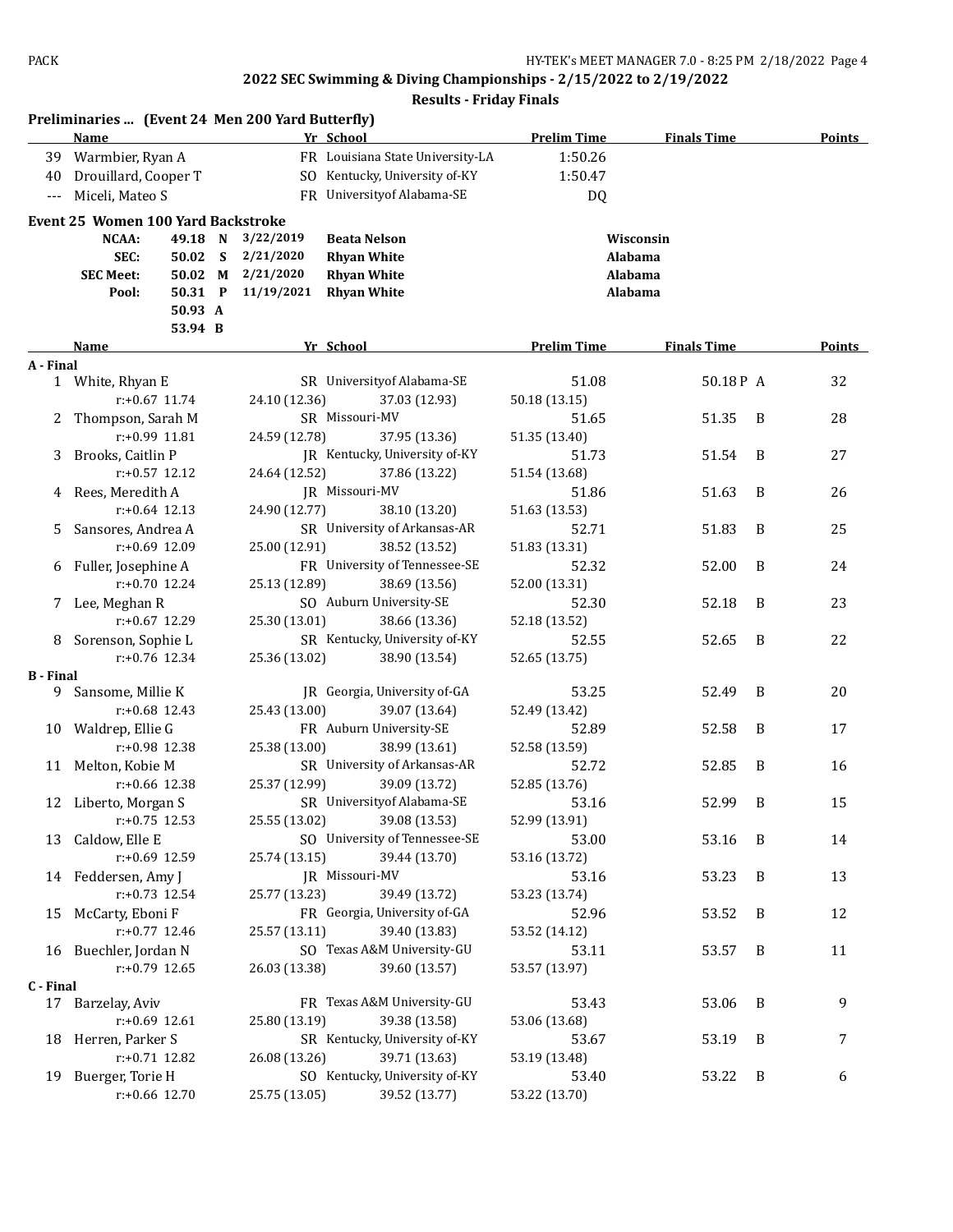|                  | Preliminaries  (Event 24 Men 200 Yard Butterfly)<br><b>Name</b> |                  |               | Yr School                                      | <b>Prelim Time</b>     | <b>Finals Time</b> |                | <b>Points</b> |
|------------------|-----------------------------------------------------------------|------------------|---------------|------------------------------------------------|------------------------|--------------------|----------------|---------------|
|                  | 39 Warmbier, Ryan A                                             |                  |               | FR Louisiana State University-LA               | 1:50.26                |                    |                |               |
| 40               | Drouillard, Cooper T                                            |                  |               | SO Kentucky, University of-KY                  | 1:50.47                |                    |                |               |
| $---$            | Miceli, Mateo S                                                 |                  |               | FR University of Alabama-SE                    | DQ                     |                    |                |               |
|                  | <b>Event 25 Women 100 Yard Backstroke</b>                       |                  |               |                                                |                        |                    |                |               |
|                  | NCAA:                                                           | 49.18 N          | 3/22/2019     | <b>Beata Nelson</b>                            |                        | Wisconsin          |                |               |
|                  | SEC:                                                            | 50.02 S          | 2/21/2020     | <b>Rhyan White</b>                             |                        | Alabama            |                |               |
|                  | <b>SEC Meet:</b>                                                | 50.02 M          | 2/21/2020     | <b>Rhyan White</b>                             |                        | Alabama            |                |               |
|                  | Pool:                                                           | 50.31 P          | 11/19/2021    | <b>Rhyan White</b>                             |                        | Alabama            |                |               |
|                  |                                                                 | 50.93 A          |               |                                                |                        |                    |                |               |
|                  |                                                                 | 53.94 B          |               |                                                |                        |                    |                |               |
|                  | Name                                                            |                  |               | Yr School                                      | <b>Prelim Time</b>     | <b>Finals Time</b> |                | <b>Points</b> |
| A - Final        |                                                                 |                  |               |                                                |                        |                    |                |               |
|                  | 1 White, Rhyan E                                                |                  |               | SR University of Alabama-SE                    | 51.08                  | 50.18P A           |                | 32            |
|                  |                                                                 | $r: +0.67$ 11.74 | 24.10 (12.36) | 37.03 (12.93)                                  | 50.18 (13.15)          |                    |                |               |
| 2                | Thompson, Sarah M                                               | $r: +0.99$ 11.81 |               | SR Missouri-MV                                 | 51.65                  | 51.35              | B              | 28            |
|                  |                                                                 |                  | 24.59 (12.78) | 37.95 (13.36)                                  | 51.35 (13.40)          |                    |                |               |
| 3                | Brooks, Caitlin P                                               | $r: +0.57$ 12.12 |               | JR Kentucky, University of-KY                  | 51.73                  | 51.54              | B              | 27            |
|                  |                                                                 |                  | 24.64 (12.52) | 37.86 (13.22)                                  | 51.54 (13.68)          |                    |                |               |
| 4                | Rees, Meredith A                                                |                  |               | JR Missouri-MV                                 | 51.86                  | 51.63              | B              | 26            |
|                  |                                                                 | $r: +0.64$ 12.13 | 24.90 (12.77) | 38.10 (13.20)                                  | 51.63 (13.53)          |                    |                |               |
| 5.               | Sansores, Andrea A                                              | $r: +0.69$ 12.09 |               | SR University of Arkansas-AR                   | 52.71                  | 51.83              | B              | 25            |
|                  |                                                                 |                  | 25.00 (12.91) | 38.52 (13.52)<br>FR University of Tennessee-SE | 51.83 (13.31)          |                    | B              |               |
| 6                | Fuller, Josephine A                                             | $r: +0.70$ 12.24 | 25.13 (12.89) |                                                | 52.32                  | 52.00              |                | 24            |
|                  | Lee, Meghan R                                                   |                  |               | 38.69 (13.56)<br>SO Auburn University-SE       | 52.00 (13.31)<br>52.30 | 52.18              | B              | 23            |
| 7                |                                                                 | $r: +0.67$ 12.29 | 25.30 (13.01) | 38.66 (13.36)                                  | 52.18 (13.52)          |                    |                |               |
|                  | 8 Sorenson, Sophie L                                            |                  |               | SR Kentucky, University of-KY                  | 52.55                  | 52.65              | B              | 22            |
|                  |                                                                 | $r: +0.76$ 12.34 | 25.36 (13.02) | 38.90 (13.54)                                  | 52.65 (13.75)          |                    |                |               |
| <b>B</b> - Final |                                                                 |                  |               |                                                |                        |                    |                |               |
| 9.               | Sansome, Millie K                                               |                  |               | JR Georgia, University of-GA                   | 53.25                  | 52.49              | B              | 20            |
|                  |                                                                 | $r: +0.68$ 12.43 | 25.43 (13.00) | 39.07 (13.64)                                  | 52.49 (13.42)          |                    |                |               |
|                  | 10 Waldrep, Ellie G                                             |                  |               | FR Auburn University-SE                        | 52.89                  | 52.58              | B              | 17            |
|                  |                                                                 | r:+0.98 12.38    | 25.38 (13.00) | 38.99 (13.61)                                  | 52.58 (13.59)          |                    |                |               |
|                  | 11 Melton, Kobie M                                              |                  |               | SR University of Arkansas-AR                   | 52.72                  | 52.85              | B              | 16            |
|                  |                                                                 | $r: +0.66$ 12.38 | 25.37 (12.99) | 39.09 (13.72)                                  | 52.85 (13.76)          |                    |                |               |
|                  | 12 Liberto, Morgan S                                            |                  |               | SR University of Alabama-SE                    | 53.16                  | 52.99              | B              | 15            |
|                  |                                                                 | $r: +0.75$ 12.53 | 25.55 (13.02) | 39.08 (13.53)                                  | 52.99 (13.91)          |                    |                |               |
|                  | 13 Caldow, Elle E                                               |                  |               | SO University of Tennessee-SE                  | 53.00                  | 53.16              | - B            | 14            |
|                  |                                                                 | r:+0.69 12.59    | 25.74 (13.15) | 39.44 (13.70)                                  | 53.16 (13.72)          |                    |                |               |
|                  | 14 Feddersen, Amy J                                             |                  |               | JR Missouri-MV                                 | 53.16                  | 53.23              | B              | 13            |
|                  |                                                                 | $r: +0.73$ 12.54 | 25.77 (13.23) | 39.49 (13.72)                                  | 53.23 (13.74)          |                    |                |               |
|                  | 15 McCarty, Eboni F                                             |                  |               | FR Georgia, University of-GA                   | 52.96                  | 53.52              | B              | 12            |
|                  |                                                                 | $r: +0.77$ 12.46 | 25.57 (13.11) | 39.40 (13.83)                                  | 53.52 (14.12)          |                    |                |               |
|                  | 16 Buechler, Jordan N                                           |                  |               | SO Texas A&M University-GU                     | 53.11                  | 53.57              | B              | 11            |
|                  |                                                                 | $r: +0.79$ 12.65 | 26.03 (13.38) | 39.60 (13.57)                                  | 53.57 (13.97)          |                    |                |               |
| C - Final        |                                                                 |                  |               |                                                |                        |                    |                |               |
|                  | 17 Barzelay, Aviv                                               |                  |               | FR Texas A&M University-GU                     | 53.43                  | 53.06              | $\overline{B}$ | 9             |
|                  |                                                                 | $r: +0.69$ 12.61 | 25.80 (13.19) | 39.38 (13.58)                                  | 53.06 (13.68)          |                    |                |               |
| 18               | Herren, Parker S                                                |                  |               | SR Kentucky, University of-KY                  | 53.67                  | 53.19              | B              | 7             |
|                  |                                                                 | $r: +0.71$ 12.82 | 26.08 (13.26) | 39.71 (13.63)                                  | 53.19 (13.48)          |                    |                |               |
|                  | 19 Buerger, Torie H                                             |                  |               | SO Kentucky, University of-KY                  | 53.40                  | 53.22              | B              | 6             |
|                  |                                                                 | r:+0.66 12.70    | 25.75 (13.05) | 39.52 (13.77)                                  | 53.22 (13.70)          |                    |                |               |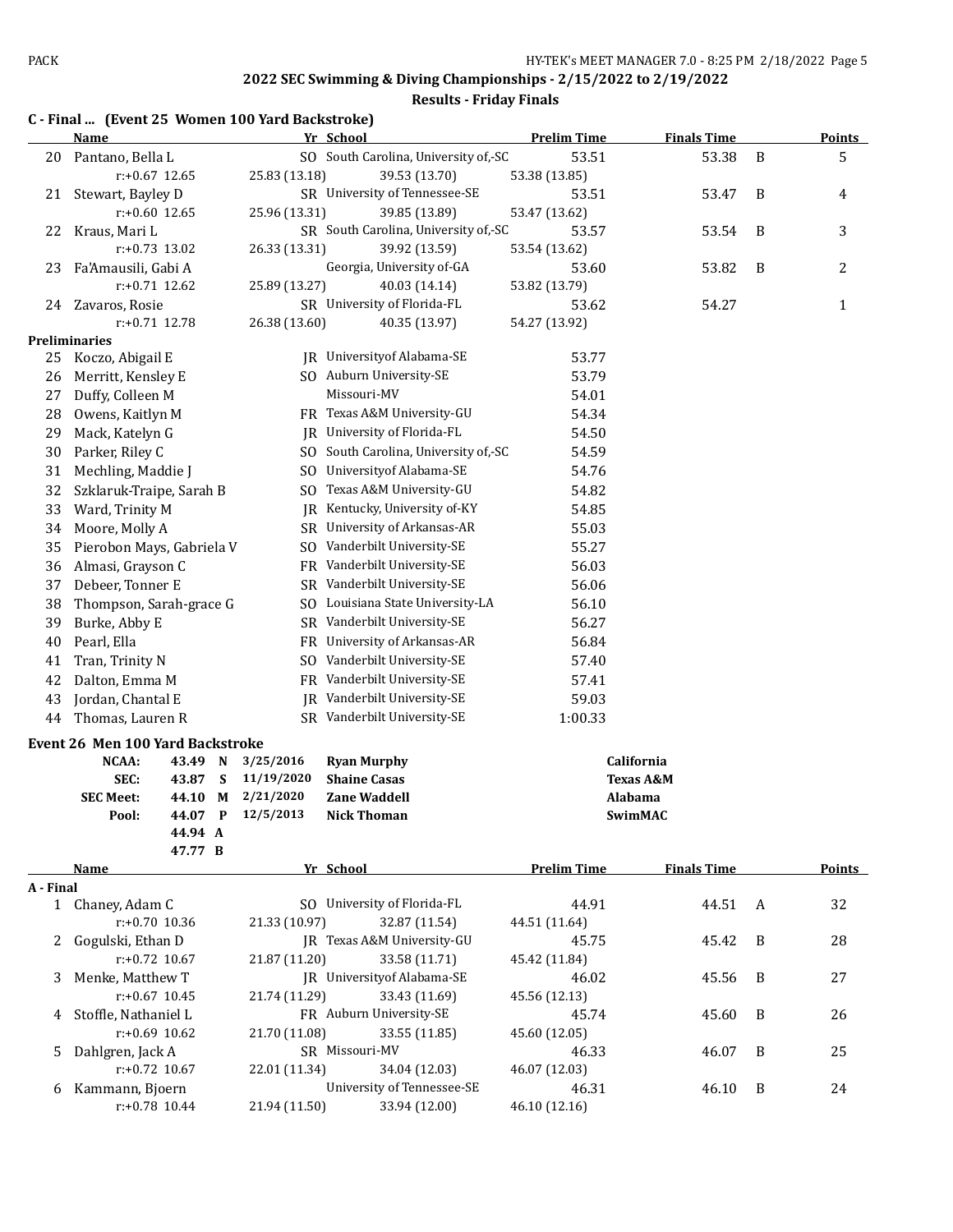## **Results - Friday Finals**

|           | C - Final  (Event 25 Women 100 Yard Backstroke) |                    |   |                        |                                      |                    |                      |   |               |
|-----------|-------------------------------------------------|--------------------|---|------------------------|--------------------------------------|--------------------|----------------------|---|---------------|
|           | Name                                            |                    |   |                        | Yr School                            | <b>Prelim Time</b> | <b>Finals Time</b>   |   | Points        |
| 20        | Pantano, Bella L                                |                    |   |                        | SO South Carolina, University of,-SC | 53.51              | 53.38                | B | 5             |
|           | $r: +0.67$ 12.65                                |                    |   | 25.83 (13.18)          | 39.53 (13.70)                        | 53.38 (13.85)      |                      |   |               |
| 21        | Stewart, Bayley D                               |                    |   |                        | SR University of Tennessee-SE        | 53.51              | 53.47                | B | 4             |
|           | $r: +0.60$ 12.65                                |                    |   | 25.96 (13.31)          | 39.85 (13.89)                        | 53.47 (13.62)      |                      |   |               |
| 22        | Kraus, Mari L                                   |                    |   |                        | SR South Carolina, University of,-SC | 53.57              | 53.54                | B | 3             |
|           | $r: +0.73$ 13.02                                |                    |   | 26.33 (13.31)          | 39.92 (13.59)                        | 53.54 (13.62)      |                      |   |               |
| 23        | Fa'Amausili, Gabi A                             |                    |   |                        | Georgia, University of-GA            | 53.60              | 53.82                | B | 2             |
|           | $r: +0.71$ 12.62                                |                    |   | 25.89 (13.27)          | 40.03 (14.14)                        | 53.82 (13.79)      |                      |   |               |
| 24        | Zavaros, Rosie                                  | $r: +0.71$ 12.78   |   |                        | SR University of Florida-FL          | 53.62              | 54.27                |   | 1             |
|           | <b>Preliminaries</b>                            |                    |   | 26.38 (13.60)          | 40.35 (13.97)                        | 54.27 (13.92)      |                      |   |               |
| 25        | Koczo, Abigail E                                |                    |   |                        | JR University of Alabama-SE          | 53.77              |                      |   |               |
| 26        | Merritt, Kensley E                              |                    |   |                        | SO Auburn University-SE              | 53.79              |                      |   |               |
| 27        | Duffy, Colleen M                                |                    |   |                        | Missouri-MV                          | 54.01              |                      |   |               |
| 28        | Owens, Kaitlyn M                                |                    |   |                        | FR Texas A&M University-GU           | 54.34              |                      |   |               |
| 29        | Mack, Katelyn G                                 |                    |   |                        | JR University of Florida-FL          | 54.50              |                      |   |               |
| 30        | Parker, Riley C                                 |                    |   |                        | SO South Carolina, University of,-SC | 54.59              |                      |   |               |
| 31        | Mechling, Maddie J                              |                    |   | SO.                    | Universityof Alabama-SE              | 54.76              |                      |   |               |
| 32        | Szklaruk-Traipe, Sarah B                        |                    |   | SO.                    | Texas A&M University-GU              | 54.82              |                      |   |               |
| 33        | Ward, Trinity M                                 |                    |   | IR                     | Kentucky, University of-KY           | 54.85              |                      |   |               |
| 34        | Moore, Molly A                                  |                    |   |                        | SR University of Arkansas-AR         | 55.03              |                      |   |               |
| 35        | Pierobon Mays, Gabriela V                       |                    |   | SO.                    | Vanderbilt University-SE             | 55.27              |                      |   |               |
| 36        | Almasi, Grayson C                               |                    |   |                        | FR Vanderbilt University-SE          | 56.03              |                      |   |               |
| 37        | Debeer, Tonner E                                |                    |   |                        | SR Vanderbilt University-SE          | 56.06              |                      |   |               |
| 38        | Thompson, Sarah-grace G                         |                    |   |                        | SO Louisiana State University-LA     | 56.10              |                      |   |               |
| 39        | Burke, Abby E                                   |                    |   |                        | SR Vanderbilt University-SE          | 56.27              |                      |   |               |
| 40        | Pearl, Ella                                     |                    |   |                        | FR University of Arkansas-AR         | 56.84              |                      |   |               |
| 41        | Tran, Trinity N                                 |                    |   |                        | SO Vanderbilt University-SE          | 57.40              |                      |   |               |
| 42        | Dalton, Emma M                                  |                    |   |                        | FR Vanderbilt University-SE          | 57.41              |                      |   |               |
| 43        | Jordan, Chantal E                               |                    |   |                        | JR Vanderbilt University-SE          | 59.03              |                      |   |               |
| 44        | Thomas, Lauren R                                |                    |   |                        | SR Vanderbilt University-SE          | 1:00.33            |                      |   |               |
|           |                                                 |                    |   |                        |                                      |                    |                      |   |               |
|           | Event 26 Men 100 Yard Backstroke                |                    |   |                        |                                      |                    |                      |   |               |
|           | NCAA:                                           | 43.49 N            |   | 3/25/2016              | <b>Ryan Murphy</b>                   |                    | California           |   |               |
|           | SEC:                                            | 43.87              | S | 11/19/2020             | <b>Shaine Casas</b>                  |                    | <b>Texas A&amp;M</b> |   |               |
|           | <b>SEC Meet:</b>                                | 44.10              | М | 2/21/2020<br>12/5/2013 | Zane Waddell                         | Alabama            |                      |   |               |
|           | Pool:                                           | 44.07 P<br>44.94 A |   |                        | <b>Nick Thoman</b>                   |                    | SwimMAC              |   |               |
|           |                                                 | 47.77 B            |   |                        |                                      |                    |                      |   |               |
|           | Name                                            |                    |   |                        | Yr School                            | <b>Prelim Time</b> | <b>Finals Time</b>   |   | <b>Points</b> |
| A - Final |                                                 |                    |   |                        |                                      |                    |                      |   |               |
|           | 1 Chaney, Adam C                                |                    |   |                        | SO University of Florida-FL          | 44.91              | 44.51                | A | 32            |
|           |                                                 | r:+0.70 10.36      |   | 21.33 (10.97)          | 32.87 (11.54)                        | 44.51 (11.64)      |                      |   |               |
| 2         | Gogulski, Ethan D                               |                    |   |                        | JR Texas A&M University-GU           | 45.75              | 45.42                | B | 28            |
|           |                                                 | $r: +0.72$ 10.67   |   | 21.87 (11.20)          | 33.58 (11.71)                        | 45.42 (11.84)      |                      |   |               |
| 3         | Menke, Matthew T                                |                    |   |                        | JR University of Alabama-SE          | 46.02              | 45.56                | B | 27            |
|           | $r: +0.67$ 10.45                                |                    |   | 21.74 (11.29)          | 33.43 (11.69)                        | 45.56 (12.13)      |                      |   |               |
| 4         | Stoffle, Nathaniel L                            |                    |   |                        | FR Auburn University-SE              | 45.74              | 45.60                | B | 26            |
|           | r:+0.69 10.62                                   |                    |   | 21.70 (11.08)          | 33.55 (11.85)                        | 45.60 (12.05)      |                      |   |               |

r:+0.72 10.67 22.01 (11.34) 34.04 (12.03) 46.07 (12.03)

r:+0.78 10.44 21.94 (11.50) 33.94 (12.00) 46.10 (12.16)

5 Dahlgren, Jack A SR Missouri-MV 46.33 46.07 B 25<br>
r:+0.72 10.67 22.01 (11.34) 34.04 (12.03) 46.07 (12.03) 6 Kammann, Bjoern University of Tennessee-SE 46.31 46.10 B 24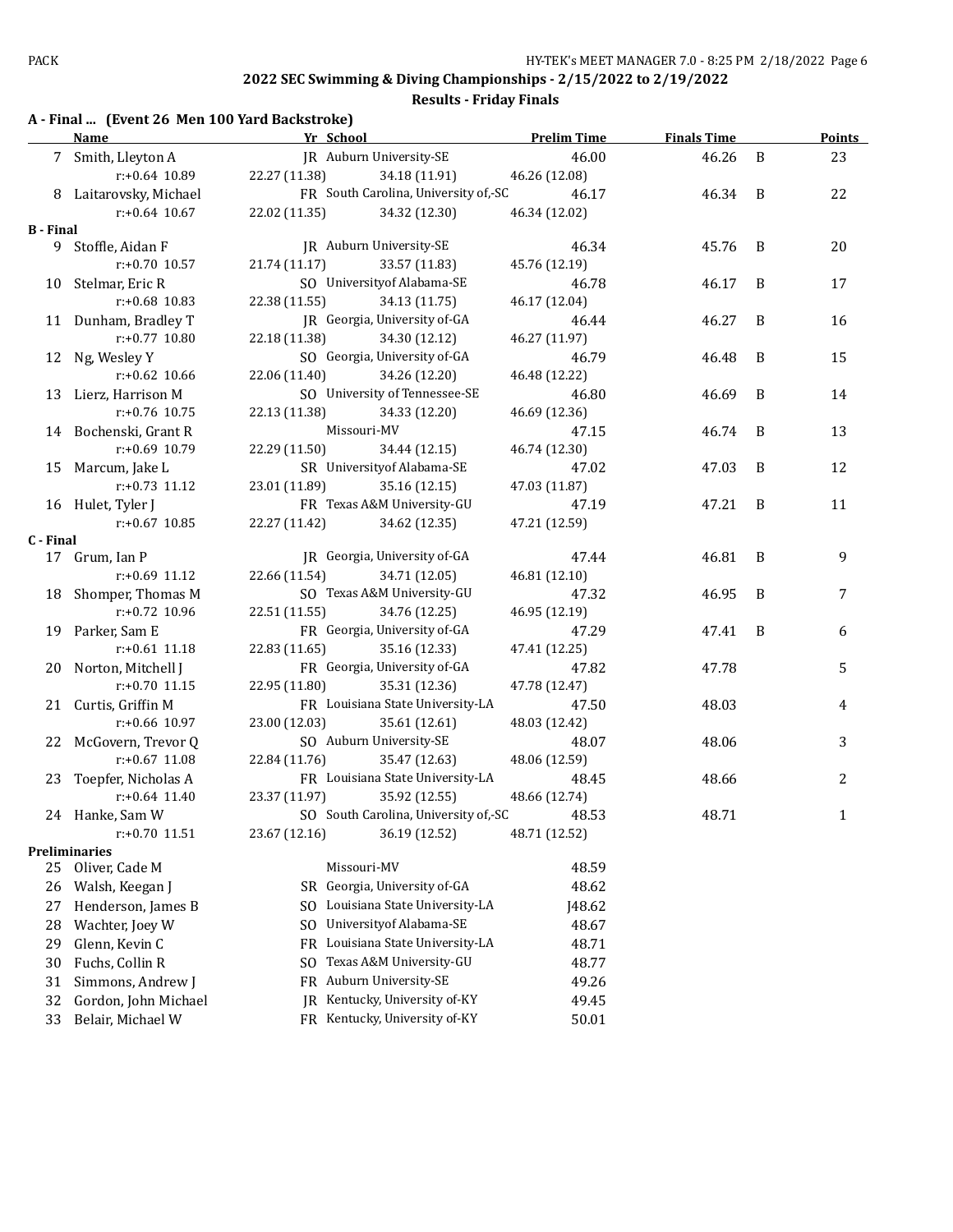**Results - Friday Finals**

## **A - Final ... (Event 26 Men 100 Yard Backstroke)**

|                  | <b>Name</b>            | Yr School                   |                                      | <b>Prelim Time</b> | <b>Finals Time</b> |   | Points       |
|------------------|------------------------|-----------------------------|--------------------------------------|--------------------|--------------------|---|--------------|
|                  | 7 Smith, Lleyton A     |                             | JR Auburn University-SE              | 46.00              | 46.26              | B | 23           |
|                  | $r: +0.64$ 10.89       | 22.27 (11.38)               | 34.18 (11.91)                        | 46.26 (12.08)      |                    |   |              |
|                  | 8 Laitarovsky, Michael |                             | FR South Carolina, University of,-SC | 46.17              | 46.34              | B | 22           |
|                  | $r: +0.64$ 10.67       | 22.02 (11.35)               | 34.32 (12.30)                        | 46.34 (12.02)      |                    |   |              |
| <b>B</b> - Final |                        |                             |                                      |                    |                    |   |              |
|                  | 9 Stoffle, Aidan F     |                             | JR Auburn University-SE              | 46.34              | 45.76              | B | 20           |
|                  | r:+0.70 10.57          | 21.74(11.17)                | 33.57 (11.83)                        | 45.76 (12.19)      |                    |   |              |
|                  | 10 Stelmar, Eric R     |                             | SO University of Alabama-SE          | 46.78              | 46.17              | B | 17           |
|                  | $r: +0.68$ 10.83       | 22.38 (11.55)               | 34.13 (11.75)                        | 46.17 (12.04)      |                    |   |              |
|                  | 11 Dunham, Bradley T   |                             | JR Georgia, University of-GA         | 46.44              | 46.27              | B | 16           |
|                  | r:+0.77 10.80          | 22.18 (11.38)               | 34.30 (12.12)                        | 46.27 (11.97)      |                    |   |              |
|                  | 12 Ng, Wesley Y        |                             | SO Georgia, University of-GA         | 46.79              | 46.48              | B | 15           |
|                  | $r: +0.62$ 10.66       | 22.06 (11.40)               | 34.26 (12.20)                        | 46.48 (12.22)      |                    |   |              |
|                  | 13 Lierz, Harrison M   |                             | SO University of Tennessee-SE        | 46.80              | 46.69              | B | 14           |
|                  | r:+0.76 10.75          | 22.13 (11.38)               | 34.33 (12.20)                        | 46.69 (12.36)      |                    |   |              |
|                  | 14 Bochenski, Grant R  |                             | Missouri-MV                          | 47.15              | 46.74              | B | 13           |
|                  | r:+0.69 10.79          | 22.29 (11.50)               | 34.44 (12.15)                        | 46.74 (12.30)      |                    |   |              |
|                  | 15 Marcum, Jake L      |                             | SR University of Alabama-SE          | 47.02              | 47.03              | B | 12           |
|                  | $r: +0.73$ 11.12       | 23.01 (11.89) 35.16 (12.15) |                                      | 47.03 (11.87)      |                    |   |              |
|                  | 16 Hulet, Tyler J      |                             | FR Texas A&M University-GU           | 47.19              | 47.21              | B | 11           |
|                  | $r: +0.67$ 10.85       | 22.27 (11.42)               | 34.62 (12.35)                        | 47.21 (12.59)      |                    |   |              |
| C - Final        |                        |                             |                                      |                    |                    |   |              |
|                  | 17 Grum, Ian P         |                             | JR Georgia, University of-GA         | 47.44              | 46.81              | B | 9            |
|                  | $r: +0.69$ 11.12       | 22.66 (11.54)               | 34.71 (12.05)                        | 46.81 (12.10)      |                    |   |              |
|                  | 18 Shomper, Thomas M   |                             | SO Texas A&M University-GU           | 47.32              | 46.95              | B | 7            |
|                  | r:+0.72 10.96          | 22.51 (11.55)               | 34.76 (12.25)                        | 46.95 (12.19)      |                    |   |              |
|                  | 19 Parker, Sam E       |                             | FR Georgia, University of-GA         | 47.29              | 47.41              | B | 6            |
|                  | $r: +0.61$ 11.18       | 22.83 (11.65)               | 35.16 (12.33)                        | 47.41 (12.25)      |                    |   |              |
|                  | 20 Norton, Mitchell J  |                             | FR Georgia, University of-GA         | 47.82              | 47.78              |   | 5            |
|                  | $r: +0.70$ 11.15       | 22.95 (11.80)               | 35.31 (12.36)                        | 47.78 (12.47)      |                    |   |              |
|                  | 21 Curtis, Griffin M   |                             | FR Louisiana State University-LA     | 47.50              | 48.03              |   | 4            |
|                  | $r+0.66$ 10.97         | 23.00 (12.03)               | 35.61 (12.61)                        | 48.03 (12.42)      |                    |   |              |
|                  | 22 McGovern, Trevor Q  |                             | SO Auburn University-SE              | 48.07              | 48.06              |   | 3            |
|                  | r:+0.67 11.08          | 22.84 (11.76)               | 35.47 (12.63)                        | 48.06 (12.59)      |                    |   |              |
|                  | 23 Toepfer, Nicholas A |                             | FR Louisiana State University-LA     | 48.45              | 48.66              |   | 2            |
|                  | $r: +0.64$ 11.40       | 23.37 (11.97)               | 35.92 (12.55)                        | 48.66 (12.74)      |                    |   |              |
|                  | 24 Hanke, Sam W        |                             | SO South Carolina, University of,-SC | 48.53              | 48.71              |   | $\mathbf{1}$ |
|                  | r:+0.70 11.51          | 23.67 (12.16)               | 36.19 (12.52)                        | 48.71 (12.52)      |                    |   |              |
|                  | <b>Preliminaries</b>   |                             |                                      |                    |                    |   |              |
| 25               | Oliver, Cade M         |                             | Missouri-MV                          | 48.59              |                    |   |              |
| 26               | Walsh, Keegan J        |                             | SR Georgia, University of-GA         | 48.62              |                    |   |              |
| 27               | Henderson, James B     |                             | SO Louisiana State University-LA     | J48.62             |                    |   |              |
| 28               | Wachter, Joey W        |                             | SO University of Alabama-SE          | 48.67              |                    |   |              |
| 29               | Glenn, Kevin C         |                             | FR Louisiana State University-LA     | 48.71              |                    |   |              |
| 30               | Fuchs, Collin R        | SO.                         | Texas A&M University-GU              | 48.77              |                    |   |              |
| 31               | Simmons, Andrew J      |                             | FR Auburn University-SE              | 49.26              |                    |   |              |
| 32               | Gordon, John Michael   |                             | JR Kentucky, University of-KY        | 49.45              |                    |   |              |
| 33               | Belair, Michael W      |                             | FR Kentucky, University of-KY        | 50.01              |                    |   |              |
|                  |                        |                             |                                      |                    |                    |   |              |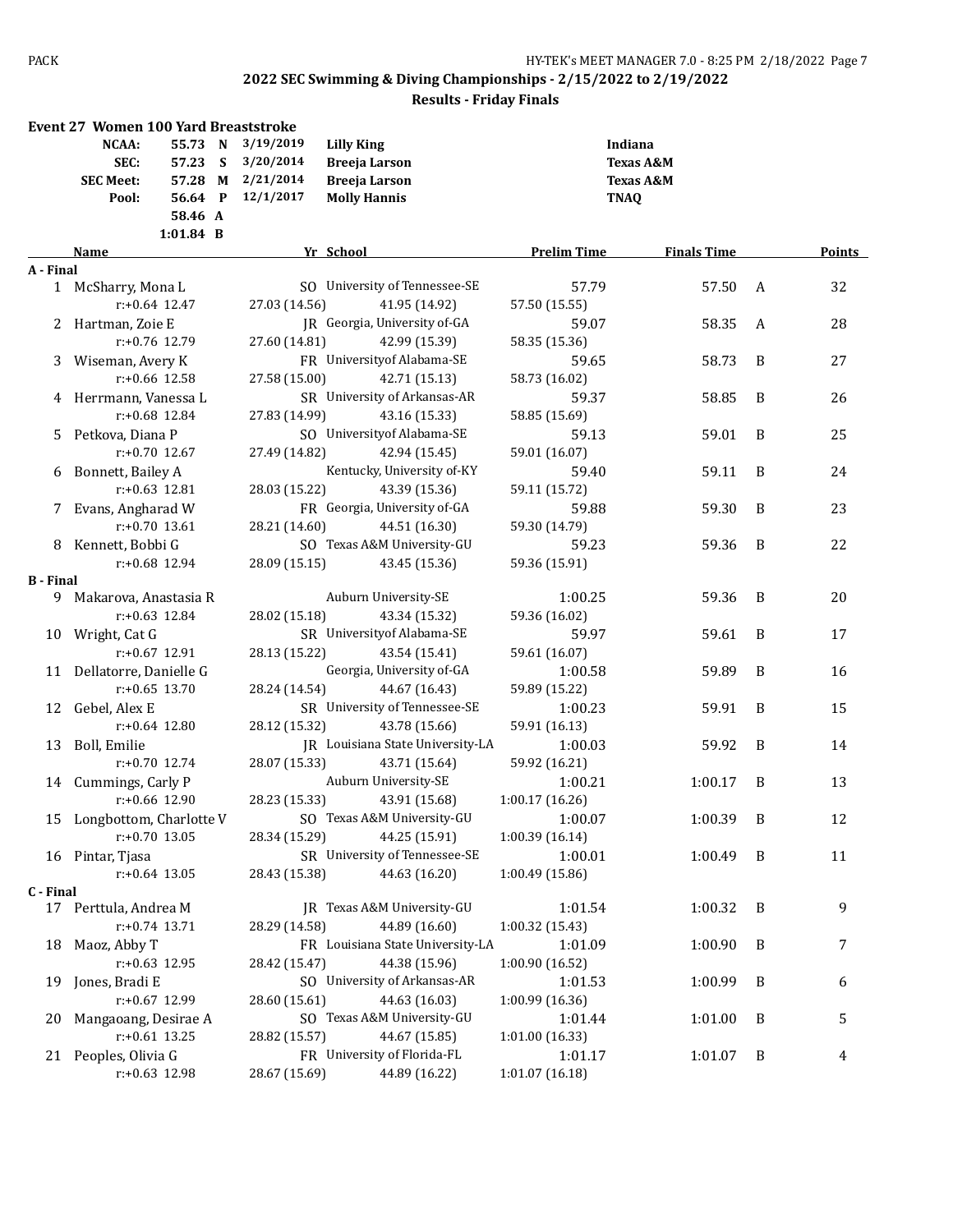|                  | <b>Event 27 Women 100 Yard Breaststroke</b> |               |                                    |                    |                      |   |        |
|------------------|---------------------------------------------|---------------|------------------------------------|--------------------|----------------------|---|--------|
|                  | <b>NCAA:</b><br>55.73 N                     | 3/19/2019     | <b>Lilly King</b>                  | Indiana            |                      |   |        |
|                  | SEC:<br>57.23 S                             | 3/20/2014     | <b>Breeja Larson</b>               |                    | <b>Texas A&amp;M</b> |   |        |
|                  | 57.28 M<br><b>SEC Meet:</b>                 | 2/21/2014     | <b>Breeja Larson</b>               |                    | <b>Texas A&amp;M</b> |   |        |
|                  | 56.64 P                                     | 12/1/2017     |                                    |                    |                      |   |        |
|                  | Pool:<br>58.46 A                            |               | <b>Molly Hannis</b>                | TNAQ               |                      |   |        |
|                  | $1:01.84$ B                                 |               |                                    |                    |                      |   |        |
|                  | Name                                        |               | Yr School                          | <b>Prelim Time</b> | <b>Finals Time</b>   |   | Points |
| A - Final        |                                             |               |                                    |                    |                      |   |        |
|                  | 1 McSharry, Mona L                          |               | SO University of Tennessee-SE      | 57.79              | 57.50                | A | 32     |
|                  | $r: +0.64$ 12.47                            | 27.03 (14.56) | 41.95 (14.92)                      | 57.50 (15.55)      |                      |   |        |
|                  | 2 Hartman, Zoie E                           |               | IR Georgia, University of-GA       | 59.07              | 58.35                | A | 28     |
|                  | r:+0.76 12.79                               | 27.60 (14.81) | 42.99 (15.39)                      | 58.35 (15.36)      |                      |   |        |
|                  | 3 Wiseman, Avery K                          |               | FR University of Alabama-SE        | 59.65              | 58.73                | B | 27     |
|                  | $r: +0.66$ 12.58                            | 27.58 (15.00) | 42.71 (15.13)                      | 58.73 (16.02)      |                      |   |        |
|                  | 4 Herrmann, Vanessa L                       |               | SR University of Arkansas-AR       | 59.37              | 58.85                | B | 26     |
|                  | r:+0.68 12.84                               | 27.83 (14.99) | 43.16 (15.33)                      | 58.85 (15.69)      |                      |   |        |
| 5                | Petkova, Diana P                            |               | SO University of Alabama-SE        | 59.13              | 59.01                | B | 25     |
|                  | $r: +0.70$ 12.67                            | 27.49 (14.82) | 42.94 (15.45)                      | 59.01 (16.07)      |                      |   |        |
|                  | 6 Bonnett, Bailey A                         |               | Kentucky, University of-KY         | 59.40              | 59.11                | B | 24     |
|                  | $r: +0.63$ 12.81                            | 28.03 (15.22) | 43.39 (15.36)                      | 59.11 (15.72)      |                      |   |        |
|                  | 7 Evans, Angharad W                         |               | FR Georgia, University of-GA       | 59.88              | 59.30                | B | 23     |
|                  | $r: +0.70$ 13.61                            | 28.21 (14.60) | 44.51 (16.30)                      | 59.30 (14.79)      |                      |   |        |
|                  | 8 Kennett, Bobbi G                          |               | SO Texas A&M University-GU         | 59.23              | 59.36                | B | 22     |
|                  | r:+0.68 12.94                               | 28.09 (15.15) | 43.45 (15.36)                      | 59.36 (15.91)      |                      |   |        |
| <b>B</b> - Final |                                             |               |                                    |                    |                      |   |        |
|                  | 9 Makarova, Anastasia R                     |               | Auburn University-SE               | 1:00.25            | 59.36                | B | 20     |
|                  | $r: +0.63$ 12.84                            | 28.02 (15.18) | 43.34 (15.32)                      | 59.36 (16.02)      |                      |   |        |
|                  | 10 Wright, Cat G                            |               | SR University of Alabama-SE        | 59.97              | 59.61                | B | 17     |
|                  | $r: +0.67$ 12.91                            | 28.13 (15.22) | 43.54 (15.41)                      | 59.61 (16.07)      |                      |   |        |
|                  | 11 Dellatorre, Danielle G                   |               | Georgia, University of-GA          | 1:00.58            | 59.89                | B | 16     |
|                  | $r: +0.65$ 13.70                            | 28.24 (14.54) | 44.67 (16.43)                      | 59.89 (15.22)      |                      |   |        |
|                  | 12 Gebel, Alex E                            |               | SR University of Tennessee-SE      | 1:00.23            | 59.91                | B | 15     |
|                  | $r: +0.64$ 12.80                            | 28.12 (15.32) | 43.78 (15.66)                      | 59.91 (16.13)      |                      |   |        |
|                  | 13 Boll, Emilie                             |               | JR Louisiana State University-LA   | 1:00.03            | 59.92                | B | 14     |
|                  | r:+0.70 12.74                               | 28.07 (15.33) | 43.71 (15.64)                      | 59.92 (16.21)      |                      |   |        |
|                  | 14 Cummings, Carly P                        |               | Auburn University-SE               | 1:00.21            | 1:00.17              | B | 13     |
|                  | r:+0.66 12.90                               | 28.23 (15.33) | 43.91 (15.68)                      | 1:00.17(16.26)     |                      |   |        |
|                  | 15 Longbottom, Charlotte V                  |               | SO Texas A&M University-GU 1:00.07 |                    | $1:00.39$ B          |   | 12     |
|                  | $r: +0.70$ 13.05                            | 28.34 (15.29) | 44.25 (15.91)                      | 1:00.39(16.14)     |                      |   |        |
|                  | 16 Pintar, Tjasa                            |               | SR University of Tennessee-SE      | 1:00.01            | 1:00.49              | B | 11     |
|                  | $r: +0.64$ 13.05                            | 28.43 (15.38) | 44.63 (16.20)                      | 1:00.49 (15.86)    |                      |   |        |
| C - Final        |                                             |               |                                    |                    |                      |   |        |
|                  | 17 Perttula, Andrea M                       |               | JR Texas A&M University-GU         | 1:01.54            | 1:00.32              | B | 9      |
|                  | $r: +0.74$ 13.71                            | 28.29 (14.58) | 44.89 (16.60)                      | 1:00.32 (15.43)    |                      |   |        |
| 18               | Maoz, Abby T                                |               | FR Louisiana State University-LA   | 1:01.09            | 1:00.90              | B | 7      |
|                  | r:+0.63 12.95                               | 28.42 (15.47) | 44.38 (15.96)                      | 1:00.90 (16.52)    |                      |   |        |
| 19               | Jones, Bradi E                              |               | SO University of Arkansas-AR       | 1:01.53            | 1:00.99              | B | 6      |
|                  | r:+0.67 12.99                               | 28.60 (15.61) | 44.63 (16.03)                      | 1:00.99 (16.36)    |                      |   |        |
| 20               | Mangaoang, Desirae A                        |               | SO Texas A&M University-GU         | 1:01.44            | 1:01.00              | B | 5      |
|                  | $r: +0.61$ 13.25                            | 28.82 (15.57) | 44.67 (15.85)                      | 1:01.00(16.33)     |                      |   |        |
|                  | 21 Peoples, Olivia G                        |               | FR University of Florida-FL        | 1:01.17            | 1:01.07              | B | 4      |
|                  | r:+0.63 12.98                               | 28.67 (15.69) | 44.89 (16.22)                      | 1:01.07 (16.18)    |                      |   |        |
|                  |                                             |               |                                    |                    |                      |   |        |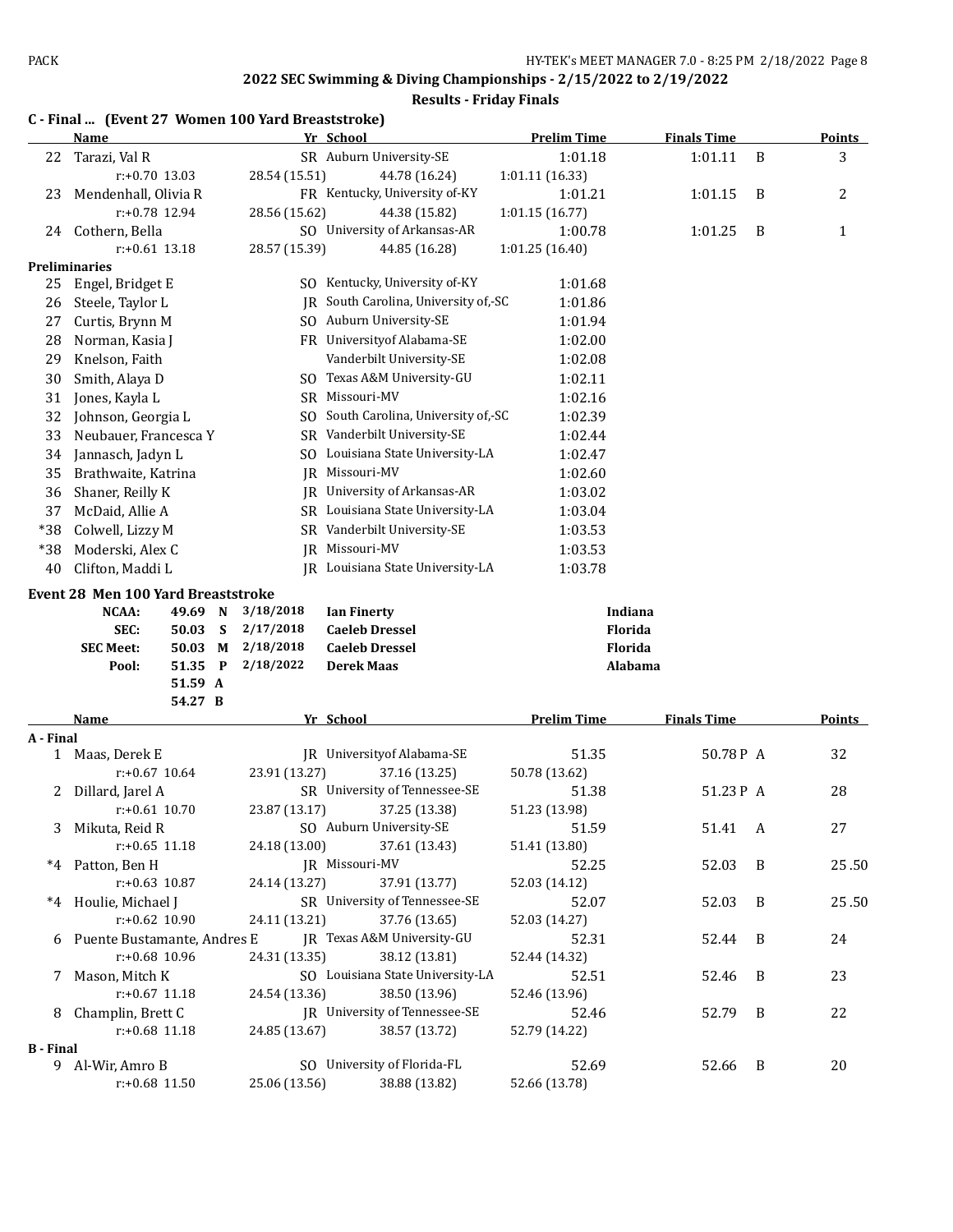#### **2022 SEC Swimming & Diving Championships - 2/15/2022 to 2/19/2022 Results - Friday Finals**

## **C - Final ... (Event 27 Women 100 Yard Breaststroke) Name Yr School Prelim Time Finals Time Points** 22 Tarazi, Val R SR Auburn University-SE 1:01.18 1:01.11 B 3 r:+0.70 13.03 28.54 (15.51) 44.78 (16.24) 1:01.11 (16.33) 23 Mendenhall, Olivia R FR Kentucky, University of-KY 1:01.21 1:01.15 B 2 r:+0.78 12.94 28.56 (15.62) 44.38 (15.82) 1:01.15 (16.77) 24 Cothern, Bella SO University of Arkansas-AR 1:00.78 1:01.25 B 1 r:+0.61 13.18 28.57 (15.39) 44.85 (16.28) 1:01.25 (16.40) **Preliminaries** 25 Engel, Bridget E SO Kentucky, University of-KY 1:01.68 26 Steele, Taylor L JR South Carolina, University of,-SC 1:01.86 27 Curtis, Brynn M SO Auburn University-SE 1:01.94 28 Norman, Kasia J **FR** Universityof Alabama-SE 1:02.00 29 Knelson, Faith Vanderbilt University-SE 1:02.08 30 Smith, Alaya D SO Texas A&M University-GU 1:02.11 31 Jones, Kayla L SR Missouri-MV 1:02.16 32 Johnson, Georgia L SO South Carolina, University of,-SC 1:02.39 33 Neubauer, Francesca Y SR Vanderbilt University-SE 1:02.44 34 Jannasch, Jadyn L SO Louisiana State University-LA 1:02.47 35 Brathwaite, Katrina **J.** IR Missouri-MV 1:02.60 36 Shaner, Reilly K JR University of Arkansas-AR 1:03.02 37 McDaid, Allie A SR Louisiana State University-LA 1:03.04 \*38 Colwell, Lizzy M SR Vanderbilt University-SE 1:03.53 \*38 Moderski, Alex C JR Missouri-MV 1:03.53 40 Clifton, Maddi L JR Louisiana State University-LA 1:03.78 **Event 28 Men 100 Yard Breaststroke NCAA: 49.69 N 3/18/2018 Ian Finerty Indiana SEC: 50.03 S 2/17/2018 Caeleb Dressel Florida SEC Meet: 50.03 M 2/18/2018 Caeleb Dressel Florida Pool: 51.35 P 2/18/2022 Derek Maas Alabama 51.59 A 54.27 B Name Yr School Prelim Time Finals Time Points A - Final** 1 Maas, Derek E JR Universityof Alabama-SE 51.35 50.78P A 32 r:+0.67 10.64 23.91 (13.27) 37.16 (13.25) 50.78 (13.62) 2 Dillard, Jarel A SR University of Tennessee-SE 51.38 51.23 P A 28 r:+0.61 10.70 23.87 (13.17) 37.25 (13.38) 51.23 (13.98) 3 Mikuta, Reid R SO Auburn University-SE 51.59 51.41 A 27 r:+0.65 11.18 24.18 (13.00) 37.61 (13.43) 51.41 (13.80) \*4 Patton, Ben H JR Missouri-MV 52.25 52.03 B 25.50 r:+0.63 10.87 24.14 (13.27) 37.91 (13.77) 52.03 (14.12) \*4 Houlie, Michael J SR University of Tennessee-SE 52.07 52.03 B 25.50 r:+0.62 10.90 24.11 (13.21) 37.76 (13.65) 52.03 (14.27) 6 Puente Bustamante, Andres E JR Texas A&M University-GU 52.31 52.44 B 24 r:+0.68 10.96 24.31 (13.35) 38.12 (13.81) 52.44 (14.32) 7 Mason, Mitch K SO Louisiana State University-LA 52.51 52.46 B 23 r:+0.67 11.18 24.54 (13.36) 38.50 (13.96) 52.46 (13.96) 8 Champlin, Brett C G Champlin, Brett C G Champlin, Brett C G 22 IR University of Tennessee-SE 52.46 52.79 B 22 r:+0.68 11.18 24.85 (13.67) 38.57 (13.72) 52.79 (14.22) **B - Final** 9 Al-Wir, Amro B SO University of Florida-FL 52.69 52.66 B 20

r:+0.68 11.50 25.06 (13.56) 38.88 (13.82) 52.66 (13.78)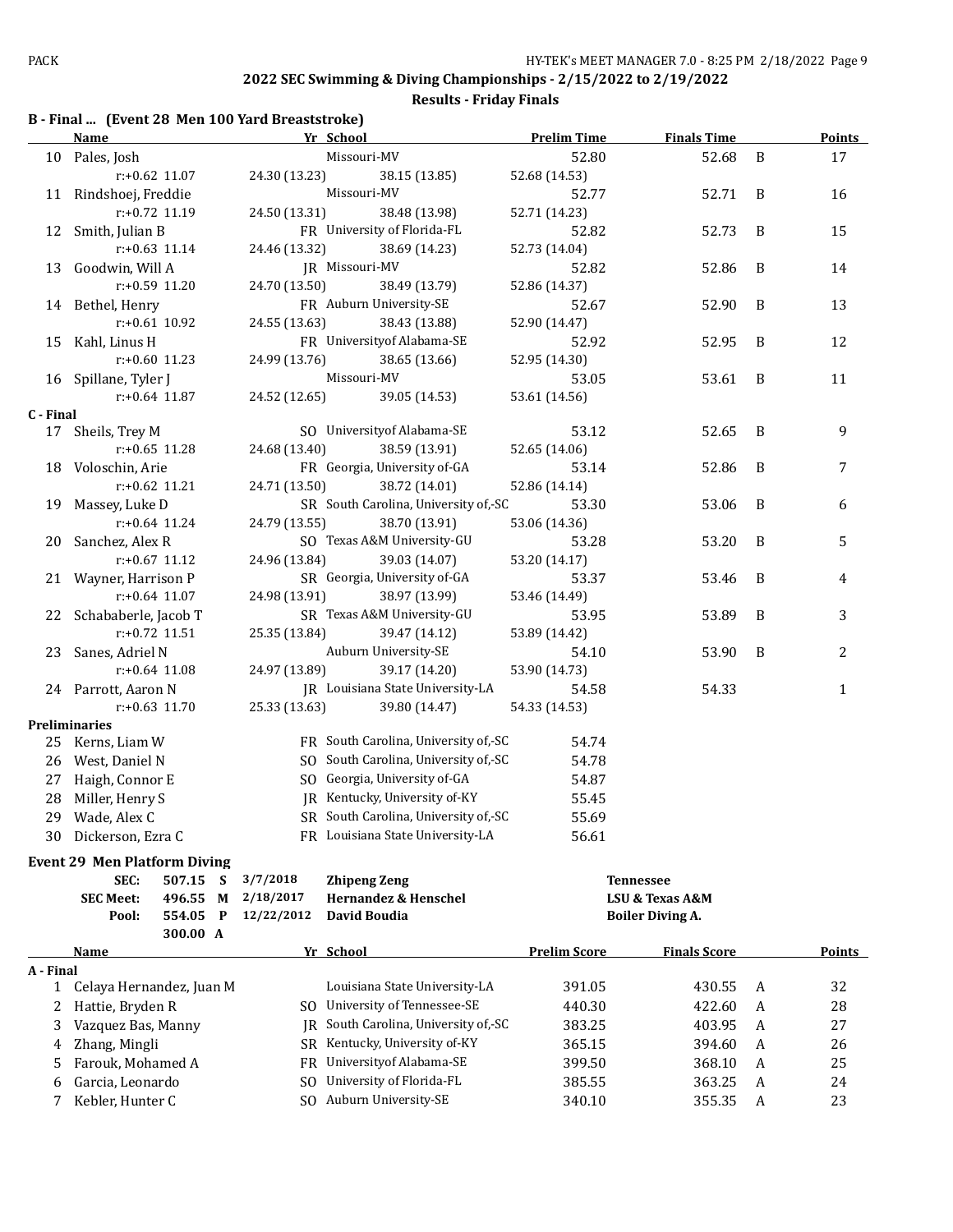**Results - Friday Finals**

## **B - Final ... (Event 28 Men 100 Yard Breaststroke)**

|              | <b>Name</b>                         |             |                | Yr School                                                       | <b>Prelim Time</b>  | <b>Finals Time</b>      |   | <b>Points</b> |
|--------------|-------------------------------------|-------------|----------------|-----------------------------------------------------------------|---------------------|-------------------------|---|---------------|
|              | 10 Pales, Josh                      |             |                | Missouri-MV                                                     | 52.80               | 52.68                   | B | 17            |
|              | $r: +0.62$ 11.07                    |             | 24.30 (13.23)  | 38.15 (13.85)                                                   | 52.68 (14.53)       |                         |   |               |
|              | 11 Rindshoej, Freddie               |             |                | Missouri-MV                                                     | 52.77               | 52.71                   | B | 16            |
|              | r:+0.72 11.19                       |             | 24.50 (13.31)  | 38.48 (13.98)                                                   | 52.71 (14.23)       |                         |   |               |
|              | 12 Smith, Julian B                  |             |                | FR University of Florida-FL                                     | 52.82               | 52.73                   | B | 15            |
|              | $r: +0.63$ 11.14                    |             | 24.46 (13.32)  | 38.69 (14.23)                                                   | 52.73 (14.04)       |                         |   |               |
|              | 13 Goodwin, Will A                  |             |                | JR Missouri-MV                                                  | 52.82               | 52.86                   | B | 14            |
|              | r:+0.59 11.20                       |             | 24.70 (13.50)  | 38.49 (13.79)                                                   | 52.86 (14.37)       |                         |   |               |
|              | 14 Bethel, Henry                    |             |                | FR Auburn University-SE                                         | 52.67               | 52.90                   | B | 13            |
|              | $r: +0.61$ 10.92                    |             | 24.55 (13.63)  | 38.43 (13.88)                                                   | 52.90 (14.47)       |                         |   |               |
| 15           | Kahl, Linus H                       |             |                | FR University of Alabama-SE                                     | 52.92               | 52.95                   | B | 12            |
|              | $r: +0.60$ 11.23                    |             | 24.99 (13.76)  | 38.65 (13.66)                                                   | 52.95 (14.30)       |                         |   |               |
|              | 16 Spillane, Tyler J                |             |                | Missouri-MV                                                     | 53.05               | 53.61                   | B | 11            |
|              | $r: +0.64$ 11.87                    |             | 24.52 (12.65)  | 39.05 (14.53)                                                   | 53.61 (14.56)       |                         |   |               |
| C - Final    |                                     |             |                |                                                                 |                     |                         |   |               |
| 17           | Sheils, Trey M                      |             |                | SO University of Alabama-SE                                     | 53.12               | 52.65                   | B | 9             |
|              | $r: +0.65$ 11.28                    |             | 24.68 (13.40)  | 38.59 (13.91)                                                   | 52.65 (14.06)       |                         |   |               |
|              | 18 Voloschin, Arie                  |             |                | FR Georgia, University of-GA                                    | 53.14               | 52.86                   | B | 7             |
|              | $r: +0.62$ 11.21                    |             | 24.71 (13.50)  | 38.72 (14.01)                                                   | 52.86 (14.14)       |                         |   |               |
| 19           | Massey, Luke D                      |             |                | SR South Carolina, University of,-SC                            | 53.30               | 53.06                   | B | 6             |
|              | $r: +0.64$ 11.24                    |             | 24.79 (13.55)  | 38.70 (13.91)                                                   | 53.06 (14.36)       |                         |   |               |
|              | 20 Sanchez, Alex R                  |             |                | SO Texas A&M University-GU                                      | 53.28               | 53.20                   | B | 5             |
|              | $r: +0.67$ 11.12                    |             | 24.96 (13.84)  | 39.03 (14.07)                                                   | 53.20 (14.17)       |                         |   |               |
|              | 21 Wayner, Harrison P               |             |                | SR Georgia, University of-GA                                    | 53.37               | 53.46                   | B | 4             |
|              | $r: +0.64$ 11.07                    |             | 24.98 (13.91)  | 38.97 (13.99)                                                   | 53.46 (14.49)       |                         |   |               |
|              | 22 Schababerle, Jacob T             |             |                | SR Texas A&M University-GU                                      | 53.95               | 53.89                   | B | 3             |
|              | r:+0.72 11.51                       |             | 25.35 (13.84)  | 39.47 (14.12)                                                   | 53.89 (14.42)       |                         |   |               |
|              | 23 Sanes, Adriel N                  |             |                | Auburn University-SE                                            | 54.10               | 53.90                   | B | 2             |
|              | $r: +0.64$ 11.08                    |             | 24.97 (13.89)  | 39.17 (14.20)                                                   | 53.90 (14.73)       |                         |   |               |
|              | 24 Parrott, Aaron N                 |             |                | JR Louisiana State University-LA                                | 54.58               | 54.33                   |   | $\mathbf{1}$  |
|              | $r: +0.63$ 11.70                    |             | 25.33 (13.63)  | 39.80 (14.47)                                                   | 54.33 (14.53)       |                         |   |               |
|              | <b>Preliminaries</b>                |             |                |                                                                 |                     |                         |   |               |
| 25           | Kerns, Liam W                       |             |                | FR South Carolina, University of,-SC                            | 54.74               |                         |   |               |
| 26           | West, Daniel N                      |             |                | SO South Carolina, University of,-SC                            | 54.78               |                         |   |               |
| 27           | Haigh, Connor E                     |             |                | SO Georgia, University of-GA                                    | 54.87               |                         |   |               |
| 28           | Miller, Henry S                     |             |                | JR Kentucky, University of-KY                                   | 55.45               |                         |   |               |
| 29           | Wade, Alex C                        |             |                | SR South Carolina, University of,-SC                            | 55.69               |                         |   |               |
| 30           | Dickerson, Ezra C                   |             |                | FR Louisiana State University-LA                                | 56.61               |                         |   |               |
|              |                                     |             |                |                                                                 |                     |                         |   |               |
|              | <b>Event 29 Men Platform Diving</b> |             |                |                                                                 |                     |                         |   |               |
|              | SEC:                                | 507.15<br>S | 3/7/2018       | <b>Zhipeng Zeng</b>                                             |                     | <b>Tennessee</b>        |   |               |
|              | <b>SEC Meet:</b>                    | 496.55<br>M | 2/18/2017      | Hernandez & Henschel                                            |                     | LSU & Texas A&M         |   |               |
|              | Pool:                               | 554.05<br>P | 12/22/2012     | David Boudia                                                    |                     | <b>Boiler Diving A.</b> |   |               |
|              |                                     | 300.00 A    |                |                                                                 |                     |                         |   |               |
|              | Name                                |             |                | Yr School                                                       | <b>Prelim Score</b> | <b>Finals Score</b>     |   | <b>Points</b> |
| A - Final    |                                     |             |                | Louisiana State University-LA                                   | 391.05              |                         |   | 32            |
| $\mathbf{1}$ | Celaya Hernandez, Juan M            |             |                |                                                                 |                     | 430.55                  | A |               |
| 2            | Hattie, Bryden R                    |             | SO.            | University of Tennessee-SE<br>South Carolina, University of,-SC | 440.30              | 422.60                  | A | 28            |
| 3            | Vazquez Bas, Manny                  |             | IR             |                                                                 | 383.25              | 403.95                  | A | 27            |
| 4            | Zhang, Mingli                       |             |                | SR Kentucky, University of-KY                                   | 365.15              | 394.60                  | A | 26            |
| 5            | Farouk, Mohamed A                   |             | FR             | Universityof Alabama-SE                                         | 399.50              | 368.10                  | A | 25            |
| 6            | Garcia, Leonardo                    |             | S <sub>O</sub> | University of Florida-FL                                        | 385.55              | 363.25                  | A | 24            |
| 7            | Kebler, Hunter C                    |             |                | SO Auburn University-SE                                         | 340.10              | 355.35                  | A | 23            |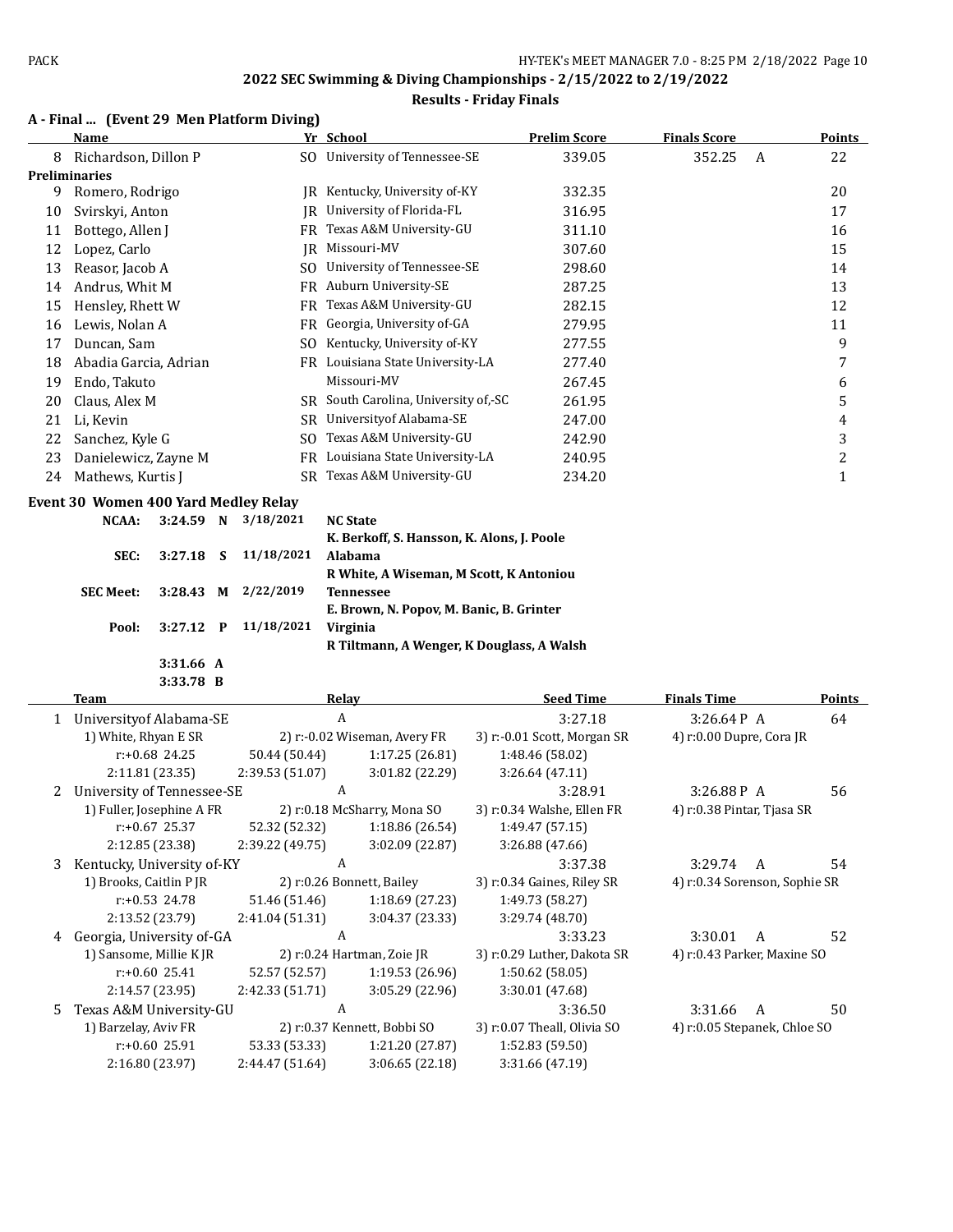#### **Results - Friday Finals**

## **A - Final ... (Event 29 Men Platform Diving)**

|    | <b>Name</b>                          |                  |              |                 | Yr School                                            | <b>Prelim Score</b>         | <b>Finals Score</b>           |   | <b>Points</b>  |
|----|--------------------------------------|------------------|--------------|-----------------|------------------------------------------------------|-----------------------------|-------------------------------|---|----------------|
| 8  | Richardson, Dillon P                 |                  |              |                 | SO University of Tennessee-SE                        | 339.05                      | 352.25                        | A | 22             |
|    | Preliminaries                        |                  |              |                 |                                                      |                             |                               |   |                |
| 9  | Romero, Rodrigo                      |                  |              |                 | JR Kentucky, University of-KY                        | 332.35                      |                               |   | 20             |
| 10 | Svirskyi, Anton                      |                  |              |                 | JR University of Florida-FL                          | 316.95                      |                               |   | 17             |
| 11 | Bottego, Allen J                     |                  |              |                 | FR Texas A&M University-GU                           | 311.10                      |                               |   | 16             |
| 12 | Lopez, Carlo                         |                  |              |                 | JR Missouri-MV                                       | 307.60                      |                               |   | 15             |
| 13 | Reasor, Jacob A                      |                  |              |                 | SO University of Tennessee-SE                        | 298.60                      |                               |   | 14             |
| 14 | Andrus, Whit M                       |                  |              |                 | FR Auburn University-SE                              | 287.25                      |                               |   | 13             |
| 15 | Hensley, Rhett W                     |                  |              |                 | FR Texas A&M University-GU                           | 282.15                      |                               |   | 12             |
| 16 | Lewis, Nolan A                       |                  |              | <b>FR</b>       | Georgia, University of-GA                            | 279.95                      |                               |   | 11             |
| 17 | Duncan, Sam                          |                  |              |                 | SO Kentucky, University of-KY                        | 277.55                      |                               |   | 9              |
| 18 | Abadia Garcia, Adrian                |                  |              |                 | FR Louisiana State University-LA                     | 277.40                      |                               |   | 7              |
| 19 | Endo, Takuto                         |                  |              |                 | Missouri-MV                                          | 267.45                      |                               |   | 6              |
| 20 | Claus, Alex M                        |                  |              |                 | SR South Carolina, University of,-SC                 | 261.95                      |                               |   | 5              |
| 21 | Li, Kevin                            |                  |              |                 | SR University of Alabama-SE                          | 247.00                      |                               |   | 4              |
| 22 | Sanchez, Kyle G                      |                  |              | SO.             | Texas A&M University-GU                              | 242.90                      |                               |   | 3              |
| 23 | Danielewicz, Zayne M                 |                  |              |                 | FR Louisiana State University-LA                     | 240.95                      |                               |   | $\overline{2}$ |
| 24 | Mathews, Kurtis J                    |                  |              | SR.             | Texas A&M University-GU                              | 234.20                      |                               |   | $\mathbf{1}$   |
|    |                                      |                  |              |                 |                                                      |                             |                               |   |                |
|    | Event 30 Women 400 Yard Medley Relay |                  |              |                 |                                                      |                             |                               |   |                |
|    | NCAA:                                | 3:24.59 N        |              | 3/18/2021       | <b>NC State</b>                                      |                             |                               |   |                |
|    |                                      |                  |              |                 | K. Berkoff, S. Hansson, K. Alons, J. Poole           |                             |                               |   |                |
|    | SEC:                                 | 3:27.18          | S            | 11/18/2021      | Alabama                                              |                             |                               |   |                |
|    | <b>SEC Meet:</b>                     | 3:28.43          |              | 2/22/2019       | R White, A Wiseman, M Scott, K Antoniou              |                             |                               |   |                |
|    |                                      |                  | М            |                 | <b>Tennessee</b>                                     |                             |                               |   |                |
|    | Pool:                                | 3:27.12          | $\mathbf{P}$ | 11/18/2021      | E. Brown, N. Popov, M. Banic, B. Grinter<br>Virginia |                             |                               |   |                |
|    |                                      |                  |              |                 | R Tiltmann, A Wenger, K Douglass, A Walsh            |                             |                               |   |                |
|    |                                      | 3:31.66 A        |              |                 |                                                      |                             |                               |   |                |
|    |                                      | 3:33.78 B        |              |                 |                                                      |                             |                               |   |                |
|    | Team                                 |                  |              |                 | <b>Relay</b>                                         | <b>Seed Time</b>            | <b>Finals Time</b>            |   | <b>Points</b>  |
| 1  | Universityof Alabama-SE              |                  |              |                 | A                                                    | 3:27.18                     | 3:26.64P A                    |   | 64             |
|    | 1) White, Rhyan E SR                 |                  |              |                 | 2) r:-0.02 Wiseman, Avery FR                         | 3) r:-0.01 Scott, Morgan SR | 4) r:0.00 Dupre, Cora JR      |   |                |
|    |                                      | r:+0.68 24.25    |              | 50.44 (50.44)   | 1:17.25 (26.81)                                      | 1:48.46 (58.02)             |                               |   |                |
|    |                                      | 2:11.81 (23.35)  |              | 2:39.53 (51.07) | 3:01.82 (22.29)                                      | 3:26.64 (47.11)             |                               |   |                |
| 2  | University of Tennessee-SE           |                  |              |                 | A                                                    | 3:28.91                     | 3:26.88P A                    |   | 56             |
|    | 1) Fuller, Josephine A FR            |                  |              |                 | 2) r:0.18 McSharry, Mona SO                          | 3) r:0.34 Walshe, Ellen FR  | 4) r:0.38 Pintar, Tjasa SR    |   |                |
|    |                                      | $r: +0.67$ 25.37 |              |                 | 52.32 (52.32) 1:18.86 (26.54)                        | 1:49.47 (57.15)             |                               |   |                |
|    |                                      | 2:12.85 (23.38)  |              | 2:39.22 (49.75) | 3:02.09 (22.87)                                      | 3:26.88 (47.66)             |                               |   |                |
| 3  | Kentucky, University of-KY           |                  |              |                 | A                                                    | 3:37.38                     | 3:29.74 A                     |   | 54             |
|    | 1) Brooks, Caitlin P JR              |                  |              |                 | 2) r:0.26 Bonnett, Bailey                            | 3) r:0.34 Gaines, Riley SR  | 4) r:0.34 Sorenson, Sophie SR |   |                |
|    |                                      | r:+0.53 24.78    |              | 51.46 (51.46)   | 1:18.69 (27.23)                                      | 1:49.73 (58.27)             |                               |   |                |
|    |                                      | 2:13.52 (23.79)  |              | 2:41.04 (51.31) | 3:04.37 (23.33)                                      | 3:29.74 (48.70)             |                               |   |                |
| 4  | Georgia, University of-GA            |                  |              |                 | A                                                    | 3:33.23                     | 3:30.01                       | A | 52             |
|    | 1) Sansome, Millie K JR              |                  |              |                 | 2) r:0.24 Hartman, Zoie JR                           | 3) r:0.29 Luther, Dakota SR | 4) r:0.43 Parker, Maxine SO   |   |                |
|    |                                      | $r: +0.60$ 25.41 |              | 52.57 (52.57)   | 1:19.53 (26.96)                                      | 1:50.62 (58.05)             |                               |   |                |
|    |                                      | 2:14.57 (23.95)  |              | 2:42.33 (51.71) | 3:05.29 (22.96)                                      | 3:30.01 (47.68)             |                               |   |                |

5 Texas A&M University-GU A 3:36.50 3:31.66 A 50

r:+0.60 25.91 53.33 (53.33) 1:21.20 (27.87) 1:52.83 (59.50) 2:16.80 (23.97) 2:44.47 (51.64) 3:06.65 (22.18) 3:31.66 (47.19)

1) Barzelay, Aviv FR 2) r:0.37 Kennett, Bobbi SO 3) r:0.07 Theall, Olivia SO 4) r:0.05 Stepanek, Chloe SO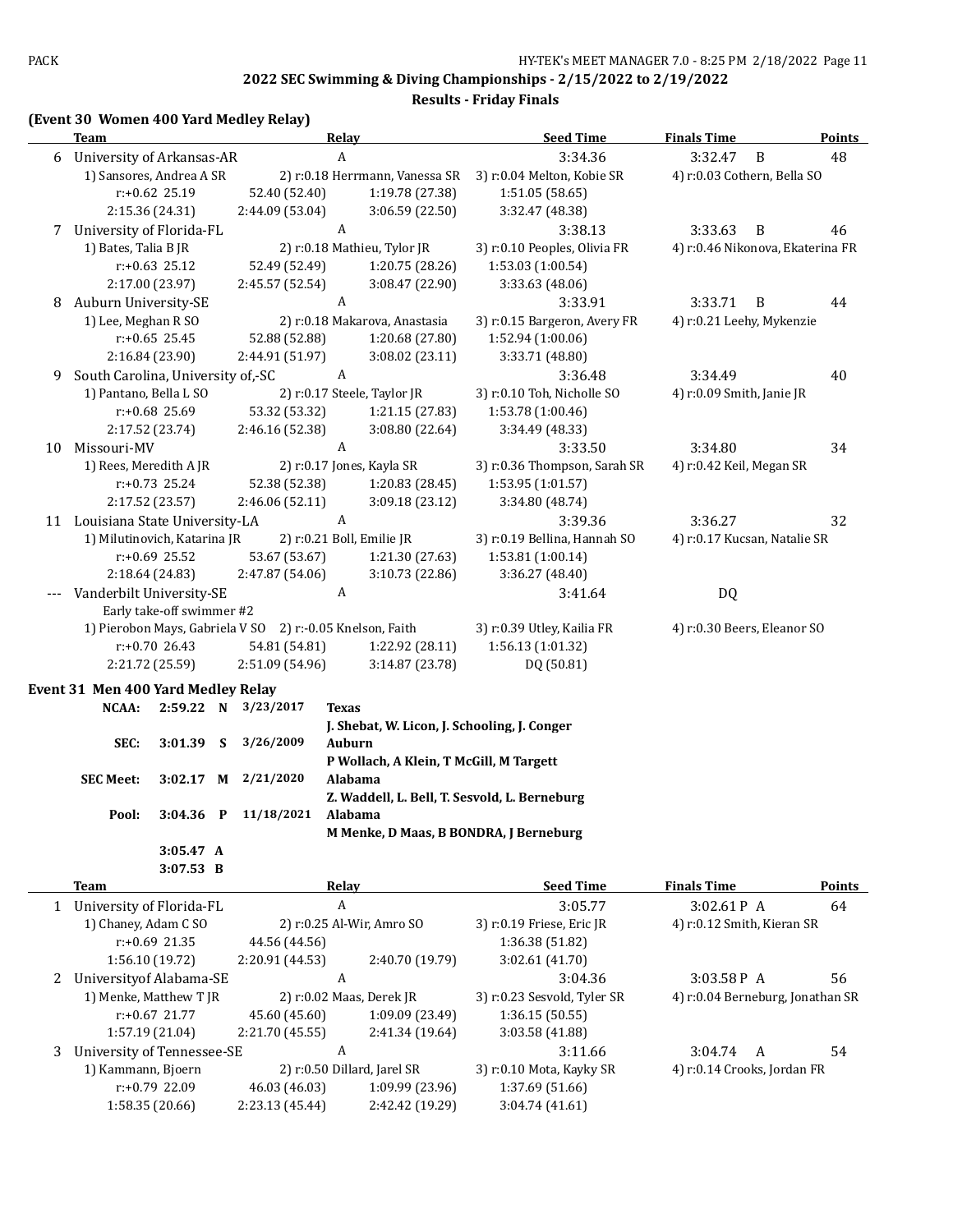**Results - Friday Finals**

## **(Event 30 Women 400 Yard Medley Relay)**

|    | <b>Team</b>                                               |             |                 | <b>Relay</b>                                  | <b>Seed Time</b>             | <b>Finals Time</b>               | <b>Points</b> |
|----|-----------------------------------------------------------|-------------|-----------------|-----------------------------------------------|------------------------------|----------------------------------|---------------|
|    | 6 University of Arkansas-AR                               |             |                 | $\boldsymbol{A}$                              | 3:34.36                      | 3:32.47<br>B                     | 48            |
|    | 1) Sansores, Andrea A SR                                  |             |                 | 2) r:0.18 Herrmann, Vanessa SR                | 3) r:0.04 Melton, Kobie SR   | 4) r:0.03 Cothern, Bella SO      |               |
|    | r:+0.62 25.19                                             |             | 52.40 (52.40)   | 1:19.78 (27.38)                               | 1:51.05 (58.65)              |                                  |               |
|    | 2:15.36 (24.31)                                           |             | 2:44.09 (53.04) | 3:06.59(22.50)                                | 3:32.47 (48.38)              |                                  |               |
|    | 7 University of Florida-FL                                |             |                 | $\boldsymbol{A}$                              | 3:38.13                      | 3:33.63<br>B                     | 46            |
|    | 1) Bates, Talia B JR                                      |             |                 | 2) r:0.18 Mathieu, Tylor JR                   | 3) r:0.10 Peoples, Olivia FR | 4) r:0.46 Nikonova, Ekaterina FR |               |
|    | $r: +0.63$ 25.12                                          |             | 52.49 (52.49)   | 1:20.75 (28.26)                               | 1:53.03 (1:00.54)            |                                  |               |
|    | 2:17.00 (23.97)                                           |             | 2:45.57 (52.54) | 3:08.47 (22.90)                               | 3:33.63 (48.06)              |                                  |               |
| 8  | Auburn University-SE                                      |             |                 | A                                             | 3:33.91                      | 3:33.71<br>B                     | 44            |
|    | 1) Lee, Meghan R SO                                       |             |                 | 2) r:0.18 Makarova, Anastasia                 | 3) r:0.15 Bargeron, Avery FR | 4) r:0.21 Leehy, Mykenzie        |               |
|    | $r: +0.65$ 25.45                                          |             | 52.88 (52.88)   | 1:20.68 (27.80)                               | 1:52.94 (1:00.06)            |                                  |               |
|    | 2:16.84 (23.90)                                           |             | 2:44.91 (51.97) | 3:08.02 (23.11)                               | 3:33.71 (48.80)              |                                  |               |
| 9  | South Carolina, University of,-SC                         |             |                 | A                                             | 3:36.48                      | 3:34.49                          | 40            |
|    | 1) Pantano, Bella L SO                                    |             |                 | 2) r:0.17 Steele, Taylor JR                   | 3) r:0.10 Toh, Nicholle SO   | 4) r:0.09 Smith, Janie JR        |               |
|    | r:+0.68 25.69                                             |             | 53.32 (53.32)   | 1:21.15 (27.83)                               | 1:53.78 (1:00.46)            |                                  |               |
|    | 2:17.52 (23.74)                                           |             | 2:46.16 (52.38) | 3:08.80 (22.64)                               | 3:34.49 (48.33)              |                                  |               |
|    |                                                           |             |                 | $\boldsymbol{A}$                              |                              |                                  |               |
| 10 | Missouri-MV                                               |             |                 |                                               | 3:33.50                      | 3:34.80                          | 34            |
|    | 1) Rees, Meredith A JR                                    |             |                 | 2) r:0.17 Jones, Kayla SR                     | 3) r:0.36 Thompson, Sarah SR | 4) r:0.42 Keil, Megan SR         |               |
|    | r:+0.73 25.24                                             |             | 52.38 (52.38)   | 1:20.83 (28.45)                               | 1:53.95 (1:01.57)            |                                  |               |
|    | 2:17.52 (23.57)                                           |             | 2:46.06 (52.11) | 3:09.18 (23.12)                               | 3:34.80 (48.74)              |                                  |               |
|    | 11 Louisiana State University-LA                          |             |                 | $\boldsymbol{A}$                              | 3:39.36                      | 3:36.27                          | 32            |
|    | 1) Milutinovich, Katarina JR                              |             |                 | 2) r:0.21 Boll, Emilie JR                     | 3) r:0.19 Bellina, Hannah SO | 4) r:0.17 Kucsan, Natalie SR     |               |
|    | r:+0.69 25.52                                             |             | 53.67 (53.67)   | 1:21.30 (27.63)                               | 1:53.81 (1:00.14)            |                                  |               |
|    | 2:18.64 (24.83)                                           |             | 2:47.87 (54.06) | 3:10.73 (22.86)                               | 3:36.27 (48.40)              |                                  |               |
|    | Vanderbilt University-SE                                  |             |                 | A                                             | 3:41.64                      | DQ                               |               |
|    | Early take-off swimmer #2                                 |             |                 |                                               |                              |                                  |               |
|    | 1) Pierobon Mays, Gabriela V SO 2) r:-0.05 Knelson, Faith |             |                 |                                               | 3) r:0.39 Utley, Kailia FR   | 4) r:0.30 Beers, Eleanor SO      |               |
|    | $r: +0.70$ 26.43                                          |             | 54.81 (54.81)   | 1:22.92 (28.11)                               | 1:56.13 (1:01.32)            |                                  |               |
|    | 2:21.72 (25.59)                                           |             | 2:51.09 (54.96) | 3:14.87 (23.78)                               | DQ (50.81)                   |                                  |               |
|    | Event 31 Men 400 Yard Medley Relay                        |             |                 |                                               |                              |                                  |               |
|    | NCAA:                                                     | 2:59.22 N   | 3/23/2017       | <b>Texas</b>                                  |                              |                                  |               |
|    |                                                           |             |                 | J. Shebat, W. Licon, J. Schooling, J. Conger  |                              |                                  |               |
|    | SEC:                                                      | $3:01.39$ S | 3/26/2009       | Auburn                                        |                              |                                  |               |
|    |                                                           |             |                 | P Wollach, A Klein, T McGill, M Targett       |                              |                                  |               |
|    | <b>SEC Meet:</b>                                          | $3:02.17$ M | 2/21/2020       | Alabama                                       |                              |                                  |               |
|    |                                                           |             |                 | Z. Waddell, L. Bell, T. Sesvold, L. Berneburg |                              |                                  |               |
|    | Pool:                                                     | $3:04.36$ P | 11/18/2021      | Alabama                                       |                              |                                  |               |
|    |                                                           |             |                 | M Menke, D Maas, B BONDRA, J Berneburg        |                              |                                  |               |
|    |                                                           | 3:05.47 A   |                 |                                               |                              |                                  |               |
|    |                                                           | 3:07.53 B   |                 |                                               |                              |                                  |               |
|    | <b>Team</b>                                               |             |                 | <b>Relay</b>                                  | <b>Seed Time</b>             | <b>Finals Time</b>               | <b>Points</b> |
|    | 1 University of Florida-FL                                |             |                 | $\boldsymbol{A}$                              | 3:05.77                      | 3:02.61P A                       | 64            |
|    | 1) Chaney, Adam C SO                                      |             |                 | 2) r:0.25 Al-Wir, Amro SO                     | 3) r:0.19 Friese, Eric JR    | 4) r:0.12 Smith, Kieran SR       |               |
|    | r:+0.69 21.35                                             |             | 44.56 (44.56)   |                                               | 1:36.38 (51.82)              |                                  |               |
|    | 1:56.10 (19.72)                                           |             | 2:20.91 (44.53) | 2:40.70 (19.79)                               | 3:02.61 (41.70)              |                                  |               |
| 2  | University of Alabama-SE                                  |             |                 | A                                             | 3:04.36                      | 3:03.58P A                       | 56            |
|    | 1) Menke, Matthew T JR                                    |             |                 | 2) r:0.02 Maas, Derek JR                      | 3) r:0.23 Sesvold, Tyler SR  | 4) r:0.04 Berneburg, Jonathan SR |               |
|    | $r: +0.67$ 21.77                                          |             | 45.60 (45.60)   | 1:09.09 (23.49)                               | 1:36.15 (50.55)              |                                  |               |
|    | 1:57.19 (21.04)                                           |             | 2:21.70 (45.55) | 2:41.34 (19.64)                               | 3:03.58 (41.88)              |                                  |               |
| 3  | University of Tennessee-SE                                |             |                 | A                                             | 3:11.66                      | 3:04.74<br>A                     | 54            |
|    | 1) Kammann, Bjoern                                        |             |                 | 2) r:0.50 Dillard, Jarel SR                   | 3) r:0.10 Mota, Kayky SR     | 4) r:0.14 Crooks, Jordan FR      |               |
|    | r:+0.79 22.09                                             |             | 46.03 (46.03)   | 1:09.99 (23.96)                               | 1:37.69 (51.66)              |                                  |               |
|    | 1:58.35 (20.66)                                           |             | 2:23.13 (45.44) | 2:42.42 (19.29)                               | 3:04.74 (41.61)              |                                  |               |
|    |                                                           |             |                 |                                               |                              |                                  |               |